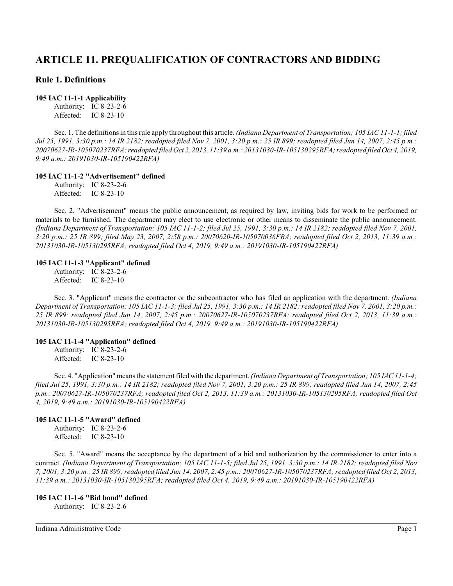# **ARTICLE 11. PREQUALIFICATION OF CONTRACTORS AND BIDDING**

# **Rule 1. Definitions**

#### **105 IAC 11-1-1 Applicability**

Authority: IC 8-23-2-6 Affected: IC 8-23-10

Sec. 1. The definitionsin thisrule apply throughout this article. *(Indiana Department of Transportation; 105 IAC 11-1-1; filed Jul 25, 1991, 3:30 p.m.: 14 IR 2182; readopted filed Nov 7, 2001, 3:20 p.m.: 25 IR 899; readopted filed Jun 14, 2007, 2:45 p.m.: 20070627-IR-105070237RFA; readopted filed Oct 2, 2013, 11:39 a.m.: 20131030-IR-105130295RFA; readopted filed Oct 4, 2019, 9:49 a.m.: 20191030-IR-105190422RFA)*

#### **105 IAC 11-1-2 "Advertisement" defined**

Authority: IC 8-23-2-6 Affected: IC 8-23-10

Sec. 2. "Advertisement" means the public announcement, as required by law, inviting bids for work to be performed or materials to be furnished. The department may elect to use electronic or other means to disseminate the public announcement. *(Indiana Department of Transportation; 105 IAC 11-1-2; filed Jul 25, 1991, 3:30 p.m.: 14 IR 2182; readopted filed Nov 7, 2001, 3:20 p.m.: 25 IR 899; filed May 23, 2007, 2:58 p.m.: 20070620-IR-105070036FRA; readopted filed Oct 2, 2013, 11:39 a.m.: 20131030-IR-105130295RFA; readopted filed Oct 4, 2019, 9:49 a.m.: 20191030-IR-105190422RFA)*

#### **105 IAC 11-1-3 "Applicant" defined**

Authority: IC 8-23-2-6 Affected: IC 8-23-10

Sec. 3. "Applicant" means the contractor or the subcontractor who has filed an application with the department. *(Indiana Department of Transportation; 105 IAC 11-1-3; filed Jul 25, 1991, 3:30 p.m.: 14 IR 2182; readopted filed Nov 7, 2001, 3:20 p.m.: 25 IR 899; readopted filed Jun 14, 2007, 2:45 p.m.: 20070627-IR-105070237RFA; readopted filed Oct 2, 2013, 11:39 a.m.: 20131030-IR-105130295RFA; readopted filed Oct 4, 2019, 9:49 a.m.: 20191030-IR-105190422RFA)*

#### **105 IAC 11-1-4 "Application" defined**

Authority: IC 8-23-2-6 Affected: IC 8-23-10

Sec. 4. "Application" means the statement filed with the department. *(Indiana Department of Transportation; 105 IAC 11-1-4; filed Jul 25, 1991, 3:30 p.m.: 14 IR 2182; readopted filed Nov 7, 2001, 3:20 p.m.: 25 IR 899; readopted filed Jun 14, 2007, 2:45 p.m.: 20070627-IR-105070237RFA; readopted filed Oct 2, 2013, 11:39 a.m.: 20131030-IR-105130295RFA; readopted filed Oct 4, 2019, 9:49 a.m.: 20191030-IR-105190422RFA)*

### **105 IAC 11-1-5 "Award" defined**

Authority: IC 8-23-2-6 Affected: IC 8-23-10

Sec. 5. "Award" means the acceptance by the department of a bid and authorization by the commissioner to enter into a contract. *(Indiana Department of Transportation; 105 IAC 11-1-5; filed Jul 25, 1991, 3:30 p.m.: 14 IR 2182; readopted filed Nov 7, 2001, 3:20 p.m.: 25 IR 899;readopted filed Jun 14, 2007, 2:45 p.m.: 20070627-IR-105070237RFA; readopted filed Oct 2, 2013, 11:39 a.m.: 20131030-IR-105130295RFA; readopted filed Oct 4, 2019, 9:49 a.m.: 20191030-IR-105190422RFA)*

#### **105 IAC 11-1-6 "Bid bond" defined**

Authority: IC 8-23-2-6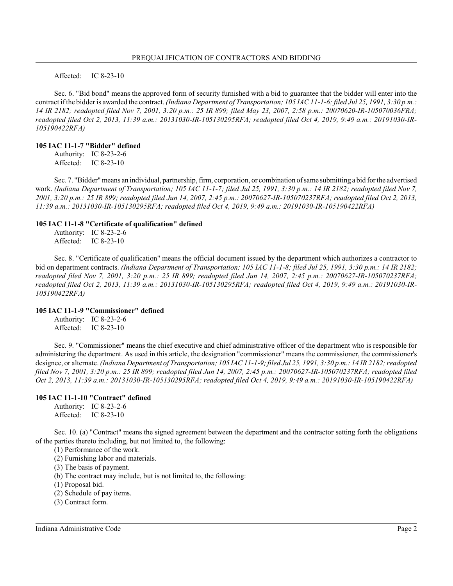Affected: IC 8-23-10

Sec. 6. "Bid bond" means the approved form of security furnished with a bid to guarantee that the bidder will enter into the contract if the bidder is awarded the contract. *(Indiana Department of Transportation; 105 IAC 11-1-6; filed Jul 25, 1991, 3:30 p.m.: 14 IR 2182; readopted filed Nov 7, 2001, 3:20 p.m.: 25 IR 899; filed May 23, 2007, 2:58 p.m.: 20070620-IR-105070036FRA; readopted filed Oct 2, 2013, 11:39 a.m.: 20131030-IR-105130295RFA; readopted filed Oct 4, 2019, 9:49 a.m.: 20191030-IR-105190422RFA)*

#### **105 IAC 11-1-7 "Bidder" defined**

Authority: IC 8-23-2-6 Affected: IC 8-23-10

Sec. 7. "Bidder" means an individual, partnership, firm, corporation, or combination of same submitting a bid for the advertised work. *(Indiana Department of Transportation; 105 IAC 11-1-7; filed Jul 25, 1991, 3:30 p.m.: 14 IR 2182; readopted filed Nov 7, 2001, 3:20 p.m.: 25 IR 899; readopted filed Jun 14, 2007, 2:45 p.m.: 20070627-IR-105070237RFA; readopted filed Oct 2, 2013, 11:39 a.m.: 20131030-IR-105130295RFA; readopted filed Oct 4, 2019, 9:49 a.m.: 20191030-IR-105190422RFA)*

#### **105 IAC 11-1-8 "Certificate of qualification" defined**

Authority: IC 8-23-2-6 Affected: IC 8-23-10

Sec. 8. "Certificate of qualification" means the official document issued by the department which authorizes a contractor to bid on department contracts. *(Indiana Department of Transportation; 105 IAC 11-1-8; filed Jul 25, 1991, 3:30 p.m.: 14 IR 2182; readopted filed Nov 7, 2001, 3:20 p.m.: 25 IR 899; readopted filed Jun 14, 2007, 2:45 p.m.: 20070627-IR-105070237RFA; readopted filed Oct 2, 2013, 11:39 a.m.: 20131030-IR-105130295RFA; readopted filed Oct 4, 2019, 9:49 a.m.: 20191030-IR-105190422RFA)*

#### **105 IAC 11-1-9 "Commissioner" defined**

Authority: IC 8-23-2-6 Affected: IC 8-23-10

Sec. 9. "Commissioner" means the chief executive and chief administrative officer of the department who is responsible for administering the department. As used in this article, the designation "commissioner" means the commissioner, the commissioner's designee, or alternate. *(Indiana Department of Transportation; 105 IAC 11-1-9; filed Jul 25, 1991, 3:30 p.m.: 14 IR 2182; readopted filed Nov 7, 2001, 3:20 p.m.: 25 IR 899; readopted filed Jun 14, 2007, 2:45 p.m.: 20070627-IR-105070237RFA; readopted filed Oct 2, 2013, 11:39 a.m.: 20131030-IR-105130295RFA; readopted filed Oct 4, 2019, 9:49 a.m.: 20191030-IR-105190422RFA)*

### **105 IAC 11-1-10 "Contract" defined**

Authority: IC 8-23-2-6 Affected: IC 8-23-10

Sec. 10. (a) "Contract" means the signed agreement between the department and the contractor setting forth the obligations of the parties thereto including, but not limited to, the following:

(1) Performance of the work.

(2) Furnishing labor and materials.

(3) The basis of payment.

(b) The contract may include, but is not limited to, the following:

(1) Proposal bid.

(2) Schedule of pay items.

(3) Contract form.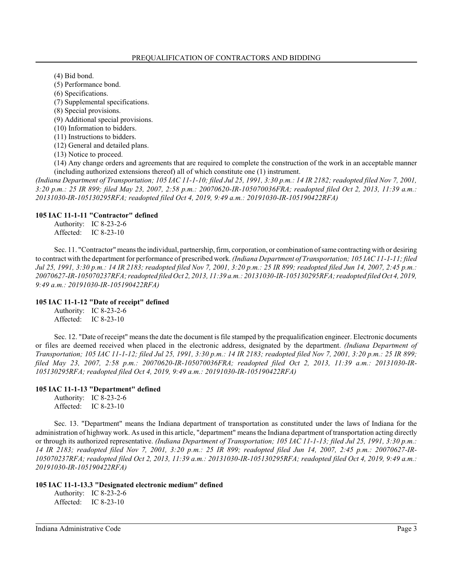(4) Bid bond.

(5) Performance bond.

(6) Specifications.

(7) Supplemental specifications.

(8) Special provisions.

(9) Additional special provisions.

(10) Information to bidders.

(11) Instructions to bidders.

(12) General and detailed plans.

(13) Notice to proceed.

(14) Any change orders and agreements that are required to complete the construction of the work in an acceptable manner (including authorized extensions thereof) all of which constitute one (1) instrument.

*(Indiana Department of Transportation; 105 IAC 11-1-10; filed Jul 25, 1991, 3:30 p.m.: 14 IR 2182; readopted filed Nov 7, 2001, 3:20 p.m.: 25 IR 899; filed May 23, 2007, 2:58 p.m.: 20070620-IR-105070036FRA; readopted filed Oct 2, 2013, 11:39 a.m.: 20131030-IR-105130295RFA; readopted filed Oct 4, 2019, 9:49 a.m.: 20191030-IR-105190422RFA)*

### **105 IAC 11-1-11 "Contractor" defined**

Authority: IC 8-23-2-6 Affected: IC 8-23-10

Sec. 11. "Contractor" means the individual, partnership, firm, corporation, or combination of same contracting with or desiring to contract with the department for performance of prescribed work. *(Indiana Department of Transportation; 105 IAC 11-1-11; filed Jul 25, 1991, 3:30 p.m.: 14 IR 2183; readopted filed Nov 7, 2001, 3:20 p.m.: 25 IR 899; readopted filed Jun 14, 2007, 2:45 p.m.: 20070627-IR-105070237RFA; readopted filed Oct 2, 2013, 11:39 a.m.: 20131030-IR-105130295RFA; readopted filed Oct 4, 2019, 9:49 a.m.: 20191030-IR-105190422RFA)*

### **105 IAC 11-1-12 "Date of receipt" defined**

Authority: IC 8-23-2-6 Affected: IC 8-23-10

Sec. 12. "Date of receipt" means the date the document is file stamped by the prequalification engineer. Electronic documents or files are deemed received when placed in the electronic address, designated by the department. *(Indiana Department of Transportation; 105 IAC 11-1-12; filed Jul 25, 1991, 3:30 p.m.: 14 IR 2183; readopted filed Nov 7, 2001, 3:20 p.m.: 25 IR 899; filed May 23, 2007, 2:58 p.m.: 20070620-IR-105070036FRA; readopted filed Oct 2, 2013, 11:39 a.m.: 20131030-IR-105130295RFA; readopted filed Oct 4, 2019, 9:49 a.m.: 20191030-IR-105190422RFA)*

### **105 IAC 11-1-13 "Department" defined**

Authority: IC 8-23-2-6 Affected: IC 8-23-10

Sec. 13. "Department" means the Indiana department of transportation as constituted under the laws of Indiana for the administration of highway work. As used in this article, "department" means the Indiana department of transportation acting directly or through its authorized representative. *(Indiana Department of Transportation; 105 IAC 11-1-13; filed Jul 25, 1991, 3:30 p.m.: 14 IR 2183; readopted filed Nov 7, 2001, 3:20 p.m.: 25 IR 899; readopted filed Jun 14, 2007, 2:45 p.m.: 20070627-IR-105070237RFA; readopted filed Oct 2, 2013, 11:39 a.m.: 20131030-IR-105130295RFA; readopted filed Oct 4, 2019, 9:49 a.m.: 20191030-IR-105190422RFA)*

#### **105 IAC 11-1-13.3 "Designated electronic medium" defined**

Authority: IC 8-23-2-6 Affected: IC 8-23-10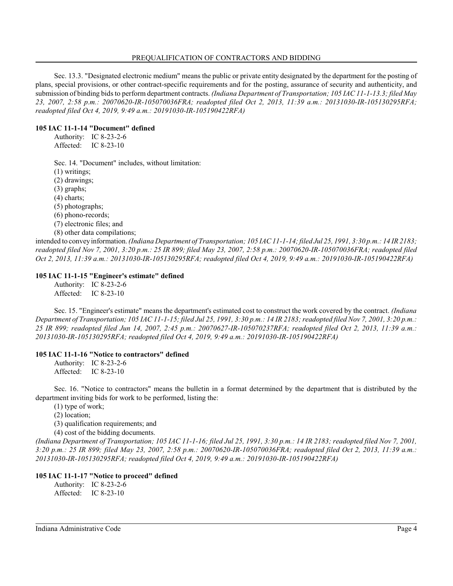Sec. 13.3. "Designated electronic medium" means the public or private entity designated by the department for the posting of plans, special provisions, or other contract-specific requirements and for the posting, assurance of security and authenticity, and submission of binding bids to perform department contracts. *(Indiana Department of Transportation; 105 IAC 11-1-13.3; filed May 23, 2007, 2:58 p.m.: 20070620-IR-105070036FRA; readopted filed Oct 2, 2013, 11:39 a.m.: 20131030-IR-105130295RFA; readopted filed Oct 4, 2019, 9:49 a.m.: 20191030-IR-105190422RFA)*

### **105 IAC 11-1-14 "Document" defined**

Authority: IC 8-23-2-6 Affected: IC 8-23-10

Sec. 14. "Document" includes, without limitation:

(1) writings;

(2) drawings;

(3) graphs;

(4) charts;

(5) photographs;

(6) phono-records;

(7) electronic files; and

(8) other data compilations;

intended to conveyinformation. *(Indiana Department of Transportation; 105 IAC 11-1-14;filed Jul 25, 1991, 3:30 p.m.: 14 IR 2183; readopted filed Nov 7, 2001, 3:20 p.m.: 25 IR 899; filed May 23, 2007, 2:58 p.m.: 20070620-IR-105070036FRA; readopted filed Oct 2, 2013, 11:39 a.m.: 20131030-IR-105130295RFA; readopted filed Oct 4, 2019, 9:49 a.m.: 20191030-IR-105190422RFA)*

### **105 IAC 11-1-15 "Engineer's estimate" defined**

Authority: IC 8-23-2-6 Affected: IC 8-23-10

Sec. 15. "Engineer's estimate" means the department's estimated cost to construct the work covered by the contract. *(Indiana Department of Transportation; 105 IAC 11-1-15; filed Jul 25, 1991, 3:30 p.m.: 14 IR 2183; readopted filed Nov 7, 2001, 3:20 p.m.: 25 IR 899; readopted filed Jun 14, 2007, 2:45 p.m.: 20070627-IR-105070237RFA; readopted filed Oct 2, 2013, 11:39 a.m.: 20131030-IR-105130295RFA; readopted filed Oct 4, 2019, 9:49 a.m.: 20191030-IR-105190422RFA)*

### **105 IAC 11-1-16 "Notice to contractors" defined**

Authority: IC 8-23-2-6 Affected: IC 8-23-10

Sec. 16. "Notice to contractors" means the bulletin in a format determined by the department that is distributed by the department inviting bids for work to be performed, listing the:

(1) type of work;

(2) location;

(3) qualification requirements; and

(4) cost of the bidding documents.

*(Indiana Department of Transportation; 105 IAC 11-1-16; filed Jul 25, 1991, 3:30 p.m.: 14 IR 2183; readopted filed Nov 7, 2001, 3:20 p.m.: 25 IR 899; filed May 23, 2007, 2:58 p.m.: 20070620-IR-105070036FRA; readopted filed Oct 2, 2013, 11:39 a.m.: 20131030-IR-105130295RFA; readopted filed Oct 4, 2019, 9:49 a.m.: 20191030-IR-105190422RFA)*

### **105 IAC 11-1-17 "Notice to proceed" defined**

Authority: IC 8-23-2-6 Affected: IC 8-23-10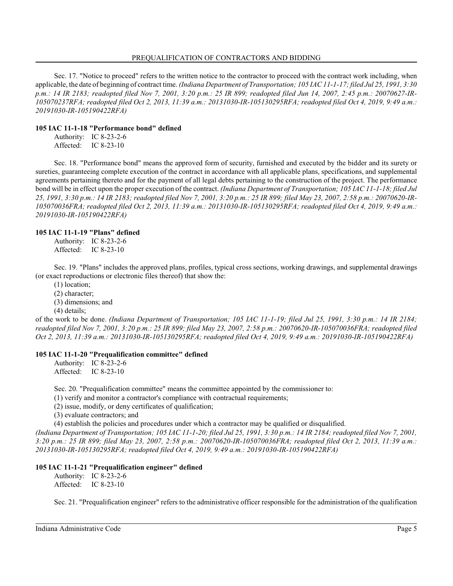Sec. 17. "Notice to proceed" refers to the written notice to the contractor to proceed with the contract work including, when applicable, the date of beginning of contract time. *(Indiana Department of Transportation; 105 IAC 11-1-17; filed Jul 25, 1991, 3:30 p.m.: 14 IR 2183; readopted filed Nov 7, 2001, 3:20 p.m.: 25 IR 899; readopted filed Jun 14, 2007, 2:45 p.m.: 20070627-IR-105070237RFA; readopted filed Oct 2, 2013, 11:39 a.m.: 20131030-IR-105130295RFA; readopted filed Oct 4, 2019, 9:49 a.m.: 20191030-IR-105190422RFA)*

### **105 IAC 11-1-18 "Performance bond" defined**

Authority: IC 8-23-2-6 Affected: IC 8-23-10

Sec. 18. "Performance bond" means the approved form of security, furnished and executed by the bidder and its surety or sureties, guaranteeing complete execution of the contract in accordance with all applicable plans, specifications, and supplemental agreements pertaining thereto and for the payment of all legal debts pertaining to the construction of the project. The performance bond will be in effect upon the proper execution of the contract. *(Indiana Department of Transportation; 105 IAC 11-1-18; filed Jul 25, 1991, 3:30 p.m.: 14 IR 2183; readopted filed Nov 7, 2001, 3:20 p.m.: 25 IR 899; filed May 23, 2007, 2:58 p.m.: 20070620-IR-105070036FRA; readopted filed Oct 2, 2013, 11:39 a.m.: 20131030-IR-105130295RFA; readopted filed Oct 4, 2019, 9:49 a.m.: 20191030-IR-105190422RFA)*

### **105 IAC 11-1-19 "Plans" defined**

Authority: IC 8-23-2-6 Affected: IC 8-23-10

Sec. 19. "Plans" includes the approved plans, profiles, typical cross sections, working drawings, and supplemental drawings (or exact reproductions or electronic files thereof) that show the:

(1) location;

(2) character;

(3) dimensions; and

(4) details;

of the work to be done. *(Indiana Department of Transportation; 105 IAC 11-1-19; filed Jul 25, 1991, 3:30 p.m.: 14 IR 2184; readopted filed Nov 7, 2001, 3:20 p.m.: 25 IR 899; filed May 23, 2007, 2:58 p.m.: 20070620-IR-105070036FRA; readopted filed Oct 2, 2013, 11:39 a.m.: 20131030-IR-105130295RFA; readopted filed Oct 4, 2019, 9:49 a.m.: 20191030-IR-105190422RFA)*

### **105 IAC 11-1-20 "Prequalification committee" defined**

Authority: IC 8-23-2-6 Affected: IC 8-23-10

Sec. 20. "Prequalification committee" means the committee appointed by the commissioner to:

(1) verify and monitor a contractor's compliance with contractual requirements;

(2) issue, modify, or deny certificates of qualification;

(3) evaluate contractors; and

(4) establish the policies and procedures under which a contractor may be qualified or disqualified.

*(Indiana Department of Transportation; 105 IAC 11-1-20; filed Jul 25, 1991, 3:30 p.m.: 14 IR 2184; readopted filed Nov 7, 2001, 3:20 p.m.: 25 IR 899; filed May 23, 2007, 2:58 p.m.: 20070620-IR-105070036FRA; readopted filed Oct 2, 2013, 11:39 a.m.: 20131030-IR-105130295RFA; readopted filed Oct 4, 2019, 9:49 a.m.: 20191030-IR-105190422RFA)*

### **105 IAC 11-1-21 "Prequalification engineer" defined**

Authority: IC 8-23-2-6 Affected: IC 8-23-10

Sec. 21. "Prequalification engineer" refers to the administrative officer responsible for the administration of the qualification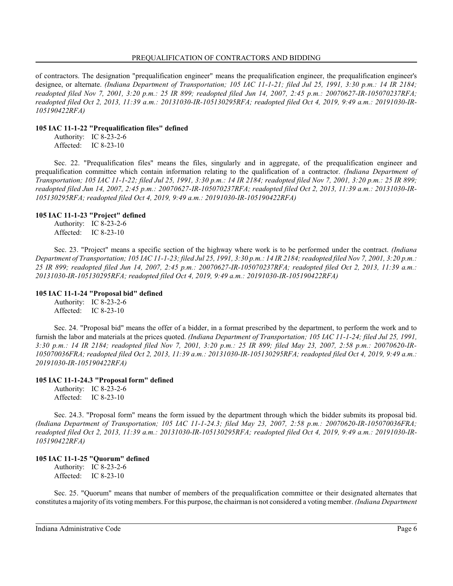of contractors. The designation "prequalification engineer" means the prequalification engineer, the prequalification engineer's designee, or alternate. *(Indiana Department of Transportation; 105 IAC 11-1-21; filed Jul 25, 1991, 3:30 p.m.: 14 IR 2184; readopted filed Nov 7, 2001, 3:20 p.m.: 25 IR 899; readopted filed Jun 14, 2007, 2:45 p.m.: 20070627-IR-105070237RFA; readopted filed Oct 2, 2013, 11:39 a.m.: 20131030-IR-105130295RFA; readopted filed Oct 4, 2019, 9:49 a.m.: 20191030-IR-105190422RFA)*

### **105 IAC 11-1-22 "Prequalification files" defined**

Authority: IC 8-23-2-6 Affected: IC 8-23-10

Sec. 22. "Prequalification files" means the files, singularly and in aggregate, of the prequalification engineer and prequalification committee which contain information relating to the qualification of a contractor. *(Indiana Department of Transportation; 105 IAC 11-1-22; filed Jul 25, 1991, 3:30 p.m.: 14 IR 2184; readopted filed Nov 7, 2001, 3:20 p.m.: 25 IR 899; readopted filed Jun 14, 2007, 2:45 p.m.: 20070627-IR-105070237RFA; readopted filed Oct 2, 2013, 11:39 a.m.: 20131030-IR-105130295RFA; readopted filed Oct 4, 2019, 9:49 a.m.: 20191030-IR-105190422RFA)*

### **105 IAC 11-1-23 "Project" defined**

Authority: IC 8-23-2-6 Affected: IC 8-23-10

Sec. 23. "Project" means a specific section of the highway where work is to be performed under the contract. *(Indiana Department of Transportation; 105 IAC 11-1-23; filed Jul 25, 1991, 3:30 p.m.: 14 IR 2184; readopted filed Nov 7, 2001, 3:20 p.m.: 25 IR 899; readopted filed Jun 14, 2007, 2:45 p.m.: 20070627-IR-105070237RFA; readopted filed Oct 2, 2013, 11:39 a.m.: 20131030-IR-105130295RFA; readopted filed Oct 4, 2019, 9:49 a.m.: 20191030-IR-105190422RFA)*

### **105 IAC 11-1-24 "Proposal bid" defined**

Authority: IC 8-23-2-6 Affected: IC 8-23-10

Sec. 24. "Proposal bid" means the offer of a bidder, in a format prescribed by the department, to perform the work and to furnish the labor and materials at the prices quoted. *(Indiana Department of Transportation; 105 IAC 11-1-24; filed Jul 25, 1991, 3:30 p.m.: 14 IR 2184; readopted filed Nov 7, 2001, 3:20 p.m.: 25 IR 899; filed May 23, 2007, 2:58 p.m.: 20070620-IR-105070036FRA; readopted filed Oct 2, 2013, 11:39 a.m.: 20131030-IR-105130295RFA; readopted filed Oct 4, 2019, 9:49 a.m.: 20191030-IR-105190422RFA)*

# **105 IAC 11-1-24.3 "Proposal form" defined**

Authority: IC 8-23-2-6 Affected: IC 8-23-10

Sec. 24.3. "Proposal form" means the form issued by the department through which the bidder submits its proposal bid. *(Indiana Department of Transportation; 105 IAC 11-1-24.3; filed May 23, 2007, 2:58 p.m.: 20070620-IR-105070036FRA; readopted filed Oct 2, 2013, 11:39 a.m.: 20131030-IR-105130295RFA; readopted filed Oct 4, 2019, 9:49 a.m.: 20191030-IR-105190422RFA)*

# **105 IAC 11-1-25 "Quorum" defined**

Authority: IC 8-23-2-6 Affected: IC 8-23-10

Sec. 25. "Quorum" means that number of members of the prequalification committee or their designated alternates that constitutes a majority of its votingmembers. For this purpose, the chairman is not considered a voting member. *(Indiana Department*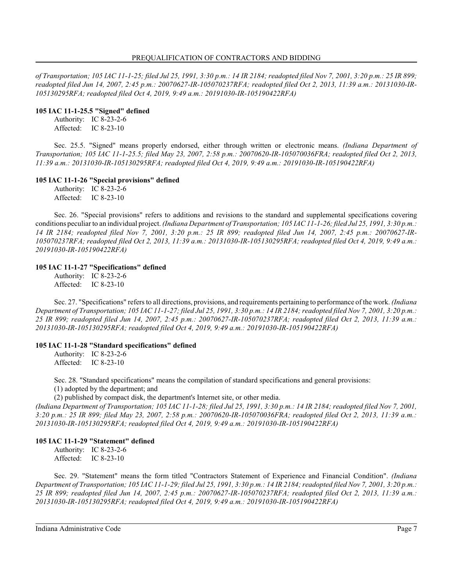*of Transportation; 105 IAC 11-1-25; filed Jul 25, 1991, 3:30 p.m.: 14 IR 2184; readopted filed Nov 7, 2001, 3:20 p.m.: 25 IR 899; readopted filed Jun 14, 2007, 2:45 p.m.: 20070627-IR-105070237RFA; readopted filed Oct 2, 2013, 11:39 a.m.: 20131030-IR-105130295RFA; readopted filed Oct 4, 2019, 9:49 a.m.: 20191030-IR-105190422RFA)*

#### **105 IAC 11-1-25.5 "Signed" defined**

Authority: IC 8-23-2-6 Affected: IC 8-23-10

Sec. 25.5. "Signed" means properly endorsed, either through written or electronic means. *(Indiana Department of Transportation; 105 IAC 11-1-25.5; filed May 23, 2007, 2:58 p.m.: 20070620-IR-105070036FRA; readopted filed Oct 2, 2013, 11:39 a.m.: 20131030-IR-105130295RFA; readopted filed Oct 4, 2019, 9:49 a.m.: 20191030-IR-105190422RFA)*

### **105 IAC 11-1-26 "Special provisions" defined**

Authority: IC 8-23-2-6 Affected: IC 8-23-10

Sec. 26. "Special provisions" refers to additions and revisions to the standard and supplemental specifications covering conditions peculiar to an individual project. *(Indiana Department of Transportation; 105 IAC 11-1-26; filed Jul 25, 1991, 3:30 p.m.: 14 IR 2184; readopted filed Nov 7, 2001, 3:20 p.m.: 25 IR 899; readopted filed Jun 14, 2007, 2:45 p.m.: 20070627-IR-105070237RFA; readopted filed Oct 2, 2013, 11:39 a.m.: 20131030-IR-105130295RFA; readopted filed Oct 4, 2019, 9:49 a.m.: 20191030-IR-105190422RFA)*

#### **105 IAC 11-1-27 "Specifications" defined**

Authority: IC 8-23-2-6 Affected: IC 8-23-10

Sec. 27. "Specifications" refers to all directions, provisions, and requirements pertaining to performance of the work. *(Indiana Department of Transportation; 105 IAC 11-1-27; filed Jul 25, 1991, 3:30 p.m.: 14 IR 2184; readopted filed Nov 7, 2001, 3:20 p.m.: 25 IR 899; readopted filed Jun 14, 2007, 2:45 p.m.: 20070627-IR-105070237RFA; readopted filed Oct 2, 2013, 11:39 a.m.: 20131030-IR-105130295RFA; readopted filed Oct 4, 2019, 9:49 a.m.: 20191030-IR-105190422RFA)*

### **105 IAC 11-1-28 "Standard specifications" defined**

Authority: IC 8-23-2-6 Affected: IC 8-23-10

Sec. 28. "Standard specifications" means the compilation of standard specifications and general provisions: (1) adopted by the department; and

(2) published by compact disk, the department's Internet site, or other media.

*(Indiana Department of Transportation; 105 IAC 11-1-28; filed Jul 25, 1991, 3:30 p.m.: 14 IR 2184; readopted filed Nov 7, 2001, 3:20 p.m.: 25 IR 899; filed May 23, 2007, 2:58 p.m.: 20070620-IR-105070036FRA; readopted filed Oct 2, 2013, 11:39 a.m.: 20131030-IR-105130295RFA; readopted filed Oct 4, 2019, 9:49 a.m.: 20191030-IR-105190422RFA)*

### **105 IAC 11-1-29 "Statement" defined**

Authority: IC 8-23-2-6 Affected: IC 8-23-10

Sec. 29. "Statement" means the form titled "Contractors Statement of Experience and Financial Condition". *(Indiana Department of Transportation; 105 IAC 11-1-29; filed Jul 25, 1991, 3:30 p.m.: 14 IR 2184; readopted filed Nov 7, 2001, 3:20 p.m.: 25 IR 899; readopted filed Jun 14, 2007, 2:45 p.m.: 20070627-IR-105070237RFA; readopted filed Oct 2, 2013, 11:39 a.m.: 20131030-IR-105130295RFA; readopted filed Oct 4, 2019, 9:49 a.m.: 20191030-IR-105190422RFA)*

Indiana Administrative Code Page 7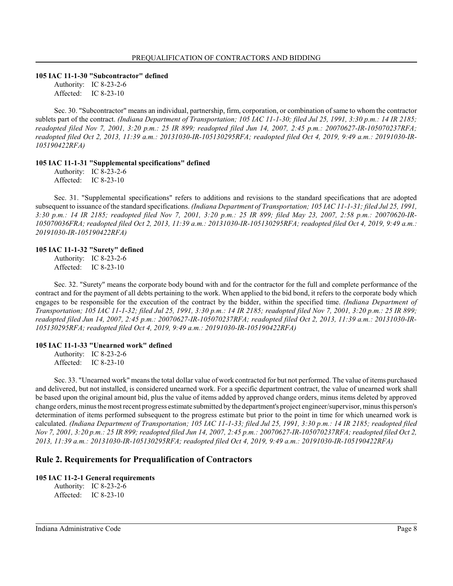#### **105 IAC 11-1-30 "Subcontractor" defined**

Authority: IC 8-23-2-6 Affected: IC 8-23-10

Sec. 30. "Subcontractor" means an individual, partnership, firm, corporation, or combination of same to whom the contractor sublets part of the contract. *(Indiana Department of Transportation; 105 IAC 11-1-30; filed Jul 25, 1991, 3:30 p.m.: 14 IR 2185; readopted filed Nov 7, 2001, 3:20 p.m.: 25 IR 899; readopted filed Jun 14, 2007, 2:45 p.m.: 20070627-IR-105070237RFA; readopted filed Oct 2, 2013, 11:39 a.m.: 20131030-IR-105130295RFA; readopted filed Oct 4, 2019, 9:49 a.m.: 20191030-IR-105190422RFA)*

#### **105 IAC 11-1-31 "Supplemental specifications" defined**

Authority: IC 8-23-2-6 Affected: IC 8-23-10

Sec. 31. "Supplemental specifications" refers to additions and revisions to the standard specifications that are adopted subsequent to issuance of the standard specifications. *(Indiana Department of Transportation; 105 IAC 11-1-31; filed Jul 25, 1991, 3:30 p.m.: 14 IR 2185; readopted filed Nov 7, 2001, 3:20 p.m.: 25 IR 899; filed May 23, 2007, 2:58 p.m.: 20070620-IR-105070036FRA; readopted filed Oct 2, 2013, 11:39 a.m.: 20131030-IR-105130295RFA; readopted filed Oct 4, 2019, 9:49 a.m.: 20191030-IR-105190422RFA)*

#### **105 IAC 11-1-32 "Surety" defined**

Authority: IC 8-23-2-6 Affected: IC 8-23-10

Sec. 32. "Surety" means the corporate body bound with and for the contractor for the full and complete performance of the contract and for the payment of all debts pertaining to the work. When applied to the bid bond, it refers to the corporate body which engages to be responsible for the execution of the contract by the bidder, within the specified time. *(Indiana Department of Transportation; 105 IAC 11-1-32; filed Jul 25, 1991, 3:30 p.m.: 14 IR 2185; readopted filed Nov 7, 2001, 3:20 p.m.: 25 IR 899; readopted filed Jun 14, 2007, 2:45 p.m.: 20070627-IR-105070237RFA; readopted filed Oct 2, 2013, 11:39 a.m.: 20131030-IR-105130295RFA; readopted filed Oct 4, 2019, 9:49 a.m.: 20191030-IR-105190422RFA)*

#### **105 IAC 11-1-33 "Unearned work" defined**

Authority: IC 8-23-2-6 Affected: IC 8-23-10

Sec. 33. "Unearned work" means the total dollar value of work contracted for but not performed. The value of items purchased and delivered, but not installed, is considered unearned work. For a specific department contract, the value of unearned work shall be based upon the original amount bid, plus the value of items added by approved change orders, minus items deleted by approved change orders, minus the most recent progress estimate submitted by the department's project engineer/supervisor, minus this person's determination of items performed subsequent to the progress estimate but prior to the point in time for which unearned work is calculated. *(Indiana Department of Transportation; 105 IAC 11-1-33; filed Jul 25, 1991, 3:30 p.m.: 14 IR 2185; readopted filed Nov 7, 2001, 3:20 p.m.: 25 IR 899; readopted filed Jun 14, 2007, 2:45 p.m.: 20070627-IR-105070237RFA; readopted filed Oct 2, 2013, 11:39 a.m.: 20131030-IR-105130295RFA; readopted filed Oct 4, 2019, 9:49 a.m.: 20191030-IR-105190422RFA)*

### **Rule 2. Requirements for Prequalification of Contractors**

#### **105 IAC 11-2-1 General requirements**

Authority: IC 8-23-2-6 Affected: IC 8-23-10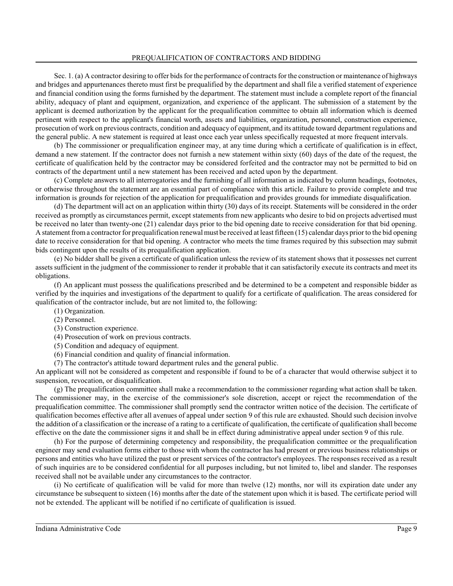Sec. 1. (a) A contractor desiring to offer bids for the performance of contracts for the construction or maintenance of highways and bridges and appurtenances thereto must first be prequalified by the department and shall file a verified statement of experience and financial condition using the forms furnished by the department. The statement must include a complete report of the financial ability, adequacy of plant and equipment, organization, and experience of the applicant. The submission of a statement by the applicant is deemed authorization by the applicant for the prequalification committee to obtain all information which is deemed pertinent with respect to the applicant's financial worth, assets and liabilities, organization, personnel, construction experience, prosecution of work on previous contracts, condition and adequacy of equipment, and its attitude toward department regulations and the general public. A new statement is required at least once each year unless specifically requested at more frequent intervals.

(b) The commissioner or prequalification engineer may, at any time during which a certificate of qualification is in effect, demand a new statement. If the contractor does not furnish a new statement within sixty (60) days of the date of the request, the certificate of qualification held by the contractor may be considered forfeited and the contractor may not be permitted to bid on contracts of the department until a new statement has been received and acted upon by the department.

(c) Complete answers to all interrogatories and the furnishing of all information as indicated by column headings, footnotes, or otherwise throughout the statement are an essential part of compliance with this article. Failure to provide complete and true information is grounds for rejection of the application for prequalification and provides grounds for immediate disqualification.

(d) The department will act on an application within thirty (30) days of its receipt. Statements will be considered in the order received as promptly as circumstances permit, except statements from new applicants who desire to bid on projects advertised must be received no later than twenty-one (21) calendar days prior to the bid opening date to receive consideration for that bid opening. A statement froma contractor for prequalification renewal must be received at least fifteen (15) calendar days prior to the bid opening date to receive consideration for that bid opening. A contractor who meets the time frames required by this subsection may submit bids contingent upon the results of its prequalification application.

(e) No bidder shall be given a certificate of qualification unless the review of its statement shows that it possesses net current assets sufficient in the judgment of the commissioner to render it probable that it can satisfactorily execute its contracts and meet its obligations.

(f) An applicant must possess the qualifications prescribed and be determined to be a competent and responsible bidder as verified by the inquiries and investigations of the department to qualify for a certificate of qualification. The areas considered for qualification of the contractor include, but are not limited to, the following:

- (1) Organization.
- (2) Personnel.
- (3) Construction experience.
- (4) Prosecution of work on previous contracts.
- (5) Condition and adequacy of equipment.
- (6) Financial condition and quality of financial information.
- (7) The contractor's attitude toward department rules and the general public.

An applicant will not be considered as competent and responsible if found to be of a character that would otherwise subject it to suspension, revocation, or disqualification.

(g) The prequalification committee shall make a recommendation to the commissioner regarding what action shall be taken. The commissioner may, in the exercise of the commissioner's sole discretion, accept or reject the recommendation of the prequalification committee. The commissioner shall promptly send the contractor written notice of the decision. The certificate of qualification becomes effective after all avenues of appeal under section 9 of this rule are exhausted. Should such decision involve the addition of a classification or the increase of a rating to a certificate of qualification, the certificate of qualification shall become effective on the date the commissioner signs it and shall be in effect during administrative appeal under section 9 of this rule.

(h) For the purpose of determining competency and responsibility, the prequalification committee or the prequalification engineer may send evaluation forms either to those with whom the contractor has had present or previous business relationships or persons and entities who have utilized the past or present services of the contractor's employees. The responses received as a result of such inquiries are to be considered confidential for all purposes including, but not limited to, libel and slander. The responses received shall not be available under any circumstances to the contractor.

(i) No certificate of qualification will be valid for more than twelve (12) months, nor will its expiration date under any circumstance be subsequent to sixteen (16) months after the date of the statement upon which it is based. The certificate period will not be extended. The applicant will be notified if no certificate of qualification is issued.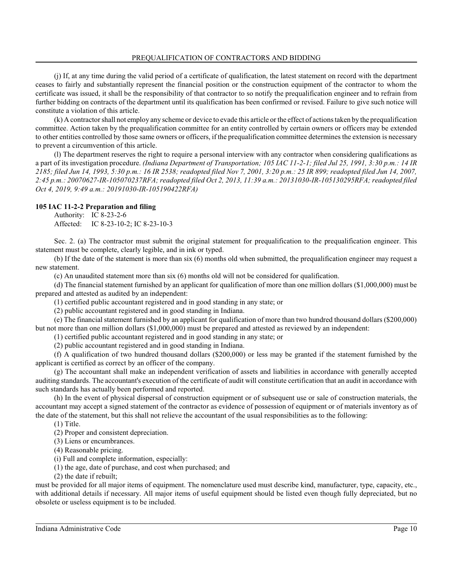(j) If, at any time during the valid period of a certificate of qualification, the latest statement on record with the department ceases to fairly and substantially represent the financial position or the construction equipment of the contractor to whom the certificate was issued, it shall be the responsibility of that contractor to so notify the prequalification engineer and to refrain from further bidding on contracts of the department until its qualification has been confirmed or revised. Failure to give such notice will constitute a violation of this article.

(k) A contractor shall not employ any scheme or device to evade this article or the effect of actions taken by the prequalification committee. Action taken by the prequalification committee for an entity controlled by certain owners or officers may be extended to other entities controlled by those same owners or officers, if the prequalification committee determines the extension is necessary to prevent a circumvention of this article.

(l) The department reserves the right to require a personal interview with any contractor when considering qualifications as a part of its investigation procedure. *(Indiana Department of Transportation; 105 IAC 11-2-1; filed Jul 25, 1991, 3:30 p.m.: 14 IR 2185; filed Jun 14, 1993, 5:30 p.m.: 16 IR 2538; readopted filed Nov 7, 2001, 3:20 p.m.: 25 IR 899; readopted filed Jun 14, 2007, 2:45 p.m.: 20070627-IR-105070237RFA; readopted filed Oct 2, 2013, 11:39 a.m.: 20131030-IR-105130295RFA; readopted filed Oct 4, 2019, 9:49 a.m.: 20191030-IR-105190422RFA)*

# **105 IAC 11-2-2 Preparation and filing**

Authority: IC 8-23-2-6 Affected: IC 8-23-10-2; IC 8-23-10-3

Sec. 2. (a) The contractor must submit the original statement for prequalification to the prequalification engineer. This statement must be complete, clearly legible, and in ink or typed.

(b) If the date of the statement is more than six (6) months old when submitted, the prequalification engineer may request a new statement.

(c) An unaudited statement more than six (6) months old will not be considered for qualification.

(d) The financial statement furnished by an applicant for qualification of more than one million dollars (\$1,000,000) must be prepared and attested as audited by an independent:

(1) certified public accountant registered and in good standing in any state; or

(2) public accountant registered and in good standing in Indiana.

(e) The financial statement furnished by an applicant for qualification of more than two hundred thousand dollars (\$200,000) but not more than one million dollars (\$1,000,000) must be prepared and attested as reviewed by an independent:

(1) certified public accountant registered and in good standing in any state; or

(2) public accountant registered and in good standing in Indiana.

(f) A qualification of two hundred thousand dollars (\$200,000) or less may be granted if the statement furnished by the applicant is certified as correct by an officer of the company.

(g) The accountant shall make an independent verification of assets and liabilities in accordance with generally accepted auditing standards. The accountant's execution of the certificate of audit will constitute certification that an audit in accordance with such standards has actually been performed and reported.

(h) In the event of physical dispersal of construction equipment or of subsequent use or sale of construction materials, the accountant may accept a signed statement of the contractor as evidence of possession of equipment or of materials inventory as of the date of the statement, but this shall not relieve the accountant of the usual responsibilities as to the following:

(1) Title.

(2) Proper and consistent depreciation.

(3) Liens or encumbrances.

(4) Reasonable pricing.

(i) Full and complete information, especially:

(1) the age, date of purchase, and cost when purchased; and

(2) the date if rebuilt;

must be provided for all major items of equipment. The nomenclature used must describe kind, manufacturer, type, capacity, etc., with additional details if necessary. All major items of useful equipment should be listed even though fully depreciated, but no obsolete or useless equipment is to be included.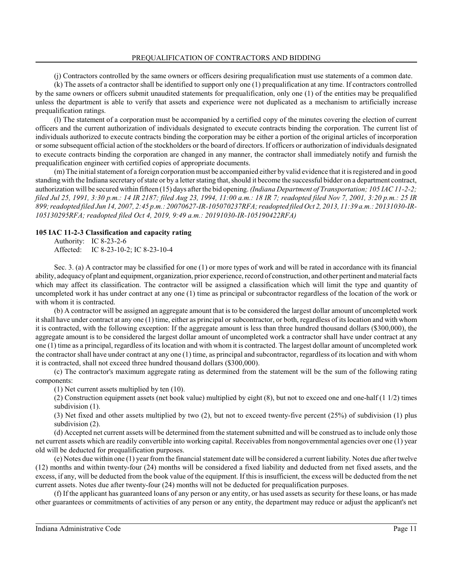(j) Contractors controlled by the same owners or officers desiring prequalification must use statements of a common date.

(k) The assets of a contractor shall be identified to support only one (1) prequalification at any time. If contractors controlled by the same owners or officers submit unaudited statements for prequalification, only one (1) of the entities may be prequalified unless the department is able to verify that assets and experience were not duplicated as a mechanism to artificially increase prequalification ratings.

(l) The statement of a corporation must be accompanied by a certified copy of the minutes covering the election of current officers and the current authorization of individuals designated to execute contracts binding the corporation. The current list of individuals authorized to execute contracts binding the corporation may be either a portion of the original articles of incorporation or some subsequent official action of the stockholders or the board of directors. If officers or authorization of individuals designated to execute contracts binding the corporation are changed in any manner, the contractor shall immediately notify and furnish the prequalification engineer with certified copies of appropriate documents.

(m) The initial statement of a foreign corporation must be accompanied either by valid evidence that it is registered and in good standing with the Indiana secretary of state or by a letter stating that, should it become the successful bidder on a department contract, authorization will be secured within fifteen (15) days after the bid opening. *(Indiana Department of Transportation; 105 IAC 11-2-2; filed Jul 25, 1991, 3:30 p.m.: 14 IR 2187; filed Aug 23, 1994, 11:00 a.m.: 18 IR 7; readopted filed Nov 7, 2001, 3:20 p.m.: 25 IR 899; readopted filed Jun 14, 2007, 2:45 p.m.: 20070627-IR-105070237RFA; readopted filed Oct 2, 2013, 11:39 a.m.: 20131030-IR-105130295RFA; readopted filed Oct 4, 2019, 9:49 a.m.: 20191030-IR-105190422RFA)*

#### **105 IAC 11-2-3 Classification and capacity rating**

Authority: IC 8-23-2-6 Affected: IC 8-23-10-2; IC 8-23-10-4

Sec. 3. (a) A contractor may be classified for one (1) or more types of work and will be rated in accordance with its financial ability, adequacyof plant and equipment, organization, prior experience, record of construction, and other pertinent and material facts which may affect its classification. The contractor will be assigned a classification which will limit the type and quantity of uncompleted work it has under contract at any one (1) time as principal or subcontractor regardless of the location of the work or with whom it is contracted.

(b) A contractor will be assigned an aggregate amount that is to be considered the largest dollar amount of uncompleted work it shall have under contract at any one (1) time, either as principal or subcontractor, or both, regardless of its location and with whom it is contracted, with the following exception: If the aggregate amount is less than three hundred thousand dollars (\$300,000), the aggregate amount is to be considered the largest dollar amount of uncompleted work a contractor shall have under contract at any one (1) time as a principal, regardless of its location and with whom it is contracted. The largest dollar amount of uncompleted work the contractor shall have under contract at any one (1) time, as principal and subcontractor, regardless of its location and with whom it is contracted, shall not exceed three hundred thousand dollars (\$300,000).

(c) The contractor's maximum aggregate rating as determined from the statement will be the sum of the following rating components:

(1) Net current assets multiplied by ten (10).

(2) Construction equipment assets (net book value) multiplied by eight  $(8)$ , but not to exceed one and one-half  $(1\ 1/2)$  times subdivision  $(1)$ .

(3) Net fixed and other assets multiplied by two (2), but not to exceed twenty-five percent (25%) of subdivision (1) plus subdivision (2).

(d) Accepted net current assets will be determined from the statement submitted and will be construed as to include only those net current assets which are readily convertible into working capital. Receivables from nongovernmental agencies over one (1) year old will be deducted for prequalification purposes.

(e) Notes due within one (1) year from the financial statement date will be considered a current liability. Notes due after twelve (12) months and within twenty-four (24) months will be considered a fixed liability and deducted from net fixed assets, and the excess, if any, will be deducted from the book value of the equipment. If thisis insufficient, the excess will be deducted from the net current assets. Notes due after twenty-four (24) months will not be deducted for prequalification purposes.

(f) If the applicant has guaranteed loans of any person or any entity, or has used assets as security for these loans, or has made other guarantees or commitments of activities of any person or any entity, the department may reduce or adjust the applicant's net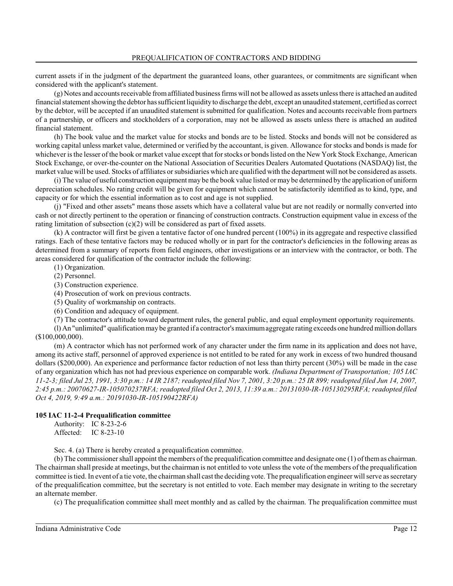current assets if in the judgment of the department the guaranteed loans, other guarantees, or commitments are significant when considered with the applicant's statement.

(g) Notes and accounts receivable fromaffiliated business firms will not be allowed as assets unless there is attached an audited financial statement showing the debtor has sufficient liquidityto discharge the debt, except an unaudited statement, certified as correct by the debtor, will be accepted if an unaudited statement is submitted for qualification. Notes and accounts receivable from partners of a partnership, or officers and stockholders of a corporation, may not be allowed as assets unless there is attached an audited financial statement.

(h) The book value and the market value for stocks and bonds are to be listed. Stocks and bonds will not be considered as working capital unless market value, determined or verified by the accountant, is given. Allowance for stocks and bonds is made for whichever is the lesser of the book or market value except that for stocks or bonds listed on the New York Stock Exchange, American Stock Exchange, or over-the-counter on the National Association of Securities Dealers Automated Quotations (NASDAQ) list, the market value will be used. Stocks of affiliates or subsidiaries which are qualified with the department will not be considered as assets.

(i) The value of useful construction equipment may be the book value listed or may be determined by the application of uniform depreciation schedules. No rating credit will be given for equipment which cannot be satisfactorily identified as to kind, type, and capacity or for which the essential information as to cost and age is not supplied.

(j) "Fixed and other assets" means those assets which have a collateral value but are not readily or normally converted into cash or not directly pertinent to the operation or financing of construction contracts. Construction equipment value in excess of the rating limitation of subsection  $(c)(2)$  will be considered as part of fixed assets.

(k) A contractor will first be given a tentative factor of one hundred percent (100%) in its aggregate and respective classified ratings. Each of these tentative factors may be reduced wholly or in part for the contractor's deficiencies in the following areas as determined from a summary of reports from field engineers, other investigations or an interview with the contractor, or both. The areas considered for qualification of the contractor include the following:

- (1) Organization.
- (2) Personnel.
- (3) Construction experience.
- (4) Prosecution of work on previous contracts.
- (5) Quality of workmanship on contracts.
- (6) Condition and adequacy of equipment.
- (7) The contractor's attitude toward department rules, the general public, and equal employment opportunity requirements.

(l) An "unlimited" qualification maybe granted if a contractor'smaximumaggregate rating exceeds one hundred million dollars (\$100,000,000).

(m) A contractor which has not performed work of any character under the firm name in its application and does not have, among its active staff, personnel of approved experience is not entitled to be rated for any work in excess of two hundred thousand dollars (\$200,000). An experience and performance factor reduction of not less than thirty percent (30%) will be made in the case of any organization which has not had previous experience on comparable work. *(Indiana Department of Transportation; 105 IAC 11-2-3; filed Jul 25, 1991, 3:30 p.m.: 14 IR 2187; readopted filed Nov 7, 2001, 3:20 p.m.: 25 IR 899; readopted filed Jun 14, 2007, 2:45 p.m.: 20070627-IR-105070237RFA; readopted filed Oct 2, 2013, 11:39 a.m.: 20131030-IR-105130295RFA; readopted filed Oct 4, 2019, 9:49 a.m.: 20191030-IR-105190422RFA)*

### **105 IAC 11-2-4 Prequalification committee**

Authority: IC 8-23-2-6 Affected: IC 8-23-10

Sec. 4. (a) There is hereby created a prequalification committee.

(b) The commissioner shall appoint the members of the prequalification committee and designate one (1) of themas chairman. The chairman shall preside at meetings, but the chairman is not entitled to vote unless the vote of the members of the prequalification committee is tied. In event of a tie vote, the chairman shall cast the deciding vote. The prequalification engineer will serve as secretary of the prequalification committee, but the secretary is not entitled to vote. Each member may designate in writing to the secretary an alternate member.

(c) The prequalification committee shall meet monthly and as called by the chairman. The prequalification committee must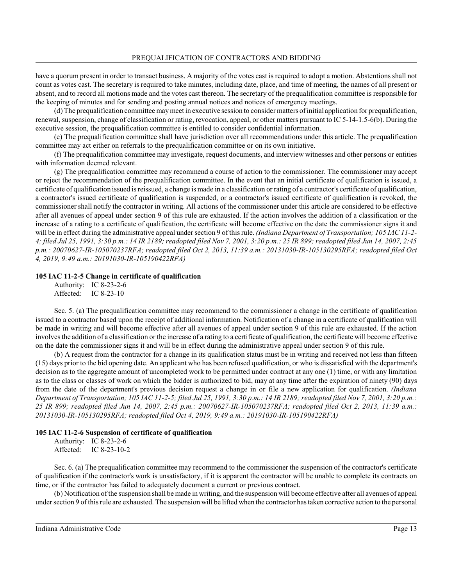have a quorum present in order to transact business. A majority of the votes cast is required to adopt a motion. Abstentions shall not count as votes cast. The secretary is required to take minutes, including date, place, and time of meeting, the names of all present or absent, and to record all motions made and the votes cast thereon. The secretary of the prequalification committee is responsible for the keeping of minutes and for sending and posting annual notices and notices of emergency meetings.

(d) The prequalification committee maymeet in executive session to consider matters of initial application for prequalification, renewal, suspension, change of classification or rating, revocation, appeal, or other matters pursuant to IC 5-14-1.5-6(b). During the executive session, the prequalification committee is entitled to consider confidential information.

(e) The prequalification committee shall have jurisdiction over all recommendations under this article. The prequalification committee may act either on referrals to the prequalification committee or on its own initiative.

(f) The prequalification committee may investigate, request documents, and interview witnesses and other persons or entities with information deemed relevant.

(g) The prequalification committee may recommend a course of action to the commissioner. The commissioner may accept or reject the recommendation of the prequalification committee. In the event that an initial certificate of qualification is issued, a certificate of qualification issued is reissued, a change is made in a classification or rating of a contractor's certificate of qualification, a contractor's issued certificate of qualification is suspended, or a contractor's issued certificate of qualification is revoked, the commissioner shall notify the contractor in writing. All actions of the commissioner under this article are considered to be effective after all avenues of appeal under section 9 of this rule are exhausted. If the action involves the addition of a classification or the increase of a rating to a certificate of qualification, the certificate will become effective on the date the commissioner signs it and will be in effect during the administrative appeal under section 9 of this rule. *(Indiana Department of Transportation; 105 IAC 11-2-4; filed Jul 25, 1991, 3:30 p.m.: 14 IR 2189; readopted filed Nov 7, 2001, 3:20 p.m.: 25 IR 899; readopted filed Jun 14, 2007, 2:45 p.m.: 20070627-IR-105070237RFA; readopted filed Oct 2, 2013, 11:39 a.m.: 20131030-IR-105130295RFA; readopted filed Oct 4, 2019, 9:49 a.m.: 20191030-IR-105190422RFA)*

#### **105 IAC 11-2-5 Change in certificate of qualification**

Authority: IC 8-23-2-6 Affected: IC 8-23-10

Sec. 5. (a) The prequalification committee may recommend to the commissioner a change in the certificate of qualification issued to a contractor based upon the receipt of additional information. Notification of a change in a certificate of qualification will be made in writing and will become effective after all avenues of appeal under section 9 of this rule are exhausted. If the action involves the addition of a classification or the increase of a rating to a certificate of qualification, the certificate will become effective on the date the commissioner signs it and will be in effect during the administrative appeal under section 9 of this rule.

(b) A request from the contractor for a change in its qualification status must be in writing and received not less than fifteen (15) days prior to the bid opening date. An applicant who has been refused qualification, or who is dissatisfied with the department's decision as to the aggregate amount of uncompleted work to be permitted under contract at any one (1) time, or with any limitation as to the class or classes of work on which the bidder is authorized to bid, may at any time after the expiration of ninety (90) days from the date of the department's previous decision request a change in or file a new application for qualification. *(Indiana Department of Transportation; 105 IAC 11-2-5; filed Jul 25, 1991, 3:30 p.m.: 14 IR 2189; readopted filed Nov 7, 2001, 3:20 p.m.: 25 IR 899; readopted filed Jun 14, 2007, 2:45 p.m.: 20070627-IR-105070237RFA; readopted filed Oct 2, 2013, 11:39 a.m.: 20131030-IR-105130295RFA; readopted filed Oct 4, 2019, 9:49 a.m.: 20191030-IR-105190422RFA)*

#### **105 IAC 11-2-6 Suspension of certificate of qualification**

Authority: IC 8-23-2-6 Affected: IC 8-23-10-2

Sec. 6. (a) The prequalification committee may recommend to the commissioner the suspension of the contractor's certificate of qualification if the contractor's work is unsatisfactory, if it is apparent the contractor will be unable to complete its contracts on time, or if the contractor has failed to adequately document a current or previous contract.

(b) Notification of the suspension shall be made in writing, and the suspension will become effective after all avenues of appeal under section 9 of this rule are exhausted. The suspension will be lifted when the contractor has taken corrective action to the personal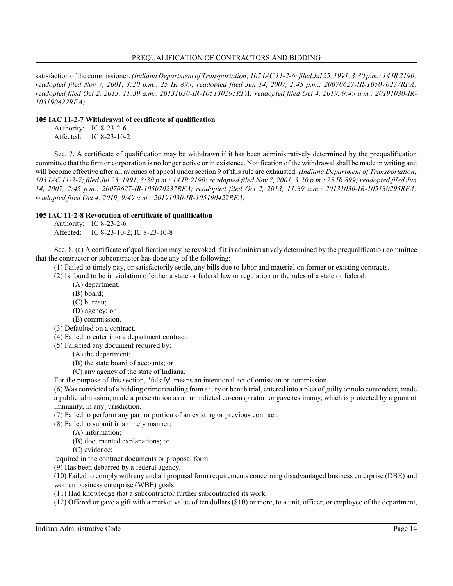satisfaction of the commissioner. *(Indiana Department of Transportation; 105 IAC 11-2-6; filed Jul 25, 1991, 3:30 p.m.: 14 IR 2190; readopted filed Nov 7, 2001, 3:20 p.m.: 25 IR 899; readopted filed Jun 14, 2007, 2:45 p.m.: 20070627-IR-105070237RFA; readopted filed Oct 2, 2013, 11:39 a.m.: 20131030-IR-105130295RFA; readopted filed Oct 4, 2019, 9:49 a.m.: 20191030-IR-105190422RFA)*

#### **105 IAC 11-2-7 Withdrawal of certificate of qualification**

Authority: IC 8-23-2-6 Affected: IC 8-23-10-2

Sec. 7. A certificate of qualification may be withdrawn if it has been administratively determined by the prequalification committee that the firmor corporation is no longer active or in existence. Notification of the withdrawal shall be made in writing and will become effective after all avenues of appeal under section 9 of thisrule are exhausted. *(Indiana Department of Transportation; 105 IAC 11-2-7; filed Jul 25, 1991, 3:30 p.m.: 14 IR 2190; readopted filed Nov 7, 2001, 3:20 p.m.: 25 IR 899; readopted filed Jun 14, 2007, 2:45 p.m.: 20070627-IR-105070237RFA; readopted filed Oct 2, 2013, 11:39 a.m.: 20131030-IR-105130295RFA; readopted filed Oct 4, 2019, 9:49 a.m.: 20191030-IR-105190422RFA)*

#### **105 IAC 11-2-8 Revocation of certificate of qualification**

Authority: IC 8-23-2-6 Affected: IC 8-23-10-2; IC 8-23-10-8

Sec. 8. (a) A certificate of qualification may be revoked if it is administratively determined by the prequalification committee that the contractor or subcontractor has done any of the following:

(1) Failed to timely pay, or satisfactorily settle, any bills due to labor and material on former or existing contracts.

(2) Is found to be in violation of either a state or federal law or regulation or the rules of a state or federal:

- (A) department;
- (B) board;
- (C) bureau;
- (D) agency; or
- (E) commission.
- (3) Defaulted on a contract.
- (4) Failed to enter into a department contract.
- (5) Falsified any document required by:
	- (A) the department;
	- (B) the state board of accounts; or
	- (C) any agency of the state of Indiana.

For the purpose of this section, "falsify" means an intentional act of omission or commission.

(6) Was convicted of a bidding crime resulting froma jury or bench trial, entered into a plea of guilty or nolo contendere, made a public admission, made a presentation as an unindicted co-conspirator, or gave testimony, which is protected by a grant of immunity, in any jurisdiction.

(7) Failed to perform any part or portion of an existing or previous contract.

(8) Failed to submit in a timely manner:

- (A) information;
- (B) documented explanations; or
- (C) evidence;

required in the contract documents or proposal form.

(9) Has been debarred by a federal agency.

(10) Failed to comply with any and all proposal form requirements concerning disadvantaged business enterprise (DBE) and women business enterprise (WBE) goals.

(11) Had knowledge that a subcontractor further subcontracted its work.

(12) Offered or gave a gift with a market value of ten dollars (\$10) or more, to a unit, officer, or employee of the department,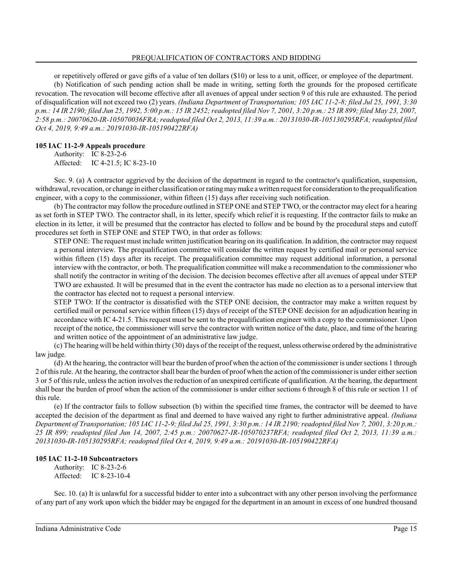or repetitively offered or gave gifts of a value of ten dollars (\$10) or less to a unit, officer, or employee of the department. (b) Notification of such pending action shall be made in writing, setting forth the grounds for the proposed certificate revocation. The revocation will become effective after all avenues of appeal under section 9 of this rule are exhausted. The period of disqualification will not exceed two (2) years. *(Indiana Department of Transportation; 105 IAC 11-2-8; filed Jul 25, 1991, 3:30 p.m.: 14 IR 2190; filed Jun 25, 1992, 5:00 p.m.: 15 IR 2452; readopted filed Nov 7, 2001, 3:20 p.m.: 25 IR 899; filed May 23, 2007, 2:58 p.m.: 20070620-IR-105070036FRA; readopted filed Oct 2, 2013, 11:39 a.m.: 20131030-IR-105130295RFA; readopted filed Oct 4, 2019, 9:49 a.m.: 20191030-IR-105190422RFA)*

### **105 IAC 11-2-9 Appeals procedure**

Authority: IC 8-23-2-6 Affected: IC 4-21.5; IC 8-23-10

Sec. 9. (a) A contractor aggrieved by the decision of the department in regard to the contractor's qualification, suspension, withdrawal, revocation, or change in either classification orrating maymake a written request for consideration to the prequalification engineer, with a copy to the commissioner, within fifteen (15) days after receiving such notification.

(b) The contractor may follow the procedure outlined in STEP ONE and STEP TWO, or the contractor may elect for a hearing as set forth in STEP TWO. The contractor shall, in its letter, specify which relief it is requesting. If the contractor fails to make an election in its letter, it will be presumed that the contractor has elected to follow and be bound by the procedural steps and cutoff procedures set forth in STEP ONE and STEP TWO, in that order as follows:

STEP ONE: The request must include written justification bearing on its qualification. In addition, the contractor may request a personal interview. The prequalification committee will consider the written request by certified mail or personal service within fifteen (15) days after its receipt. The prequalification committee may request additional information, a personal interview with the contractor, or both. The prequalification committee will make a recommendation to the commissioner who shall notify the contractor in writing of the decision. The decision becomes effective after all avenues of appeal under STEP TWO are exhausted. It will be presumed that in the event the contractor has made no election as to a personal interview that the contractor has elected not to request a personal interview.

STEP TWO: If the contractor is dissatisfied with the STEP ONE decision, the contractor may make a written request by certified mail or personal service within fifteen (15) days of receipt of the STEP ONE decision for an adjudication hearing in accordance with IC 4-21.5. Thisrequest must be sent to the prequalification engineer with a copy to the commissioner. Upon receipt of the notice, the commissioner will serve the contractor with written notice of the date, place, and time of the hearing and written notice of the appointment of an administrative law judge.

(c) The hearing will be held within thirty (30) days of the receipt of the request, unless otherwise ordered by the administrative law judge.

(d) At the hearing, the contractor will bear the burden of proof when the action of the commissioner is undersections 1 through 2 of thisrule. At the hearing, the contractor shall bear the burden of proof when the action of the commissioner is under either section 3 or 5 of thisrule, unless the action involves the reduction of an unexpired certificate of qualification. At the hearing, the department shall bear the burden of proof when the action of the commissioner is under either sections 6 through 8 of this rule or section 11 of this rule.

(e) If the contractor fails to follow subsection (b) within the specified time frames, the contractor will be deemed to have accepted the decision of the department as final and deemed to have waived any right to further administrative appeal. *(Indiana Department of Transportation; 105 IAC 11-2-9; filed Jul 25, 1991, 3:30 p.m.: 14 IR 2190; readopted filed Nov 7, 2001, 3:20 p.m.: 25 IR 899; readopted filed Jun 14, 2007, 2:45 p.m.: 20070627-IR-105070237RFA; readopted filed Oct 2, 2013, 11:39 a.m.: 20131030-IR-105130295RFA; readopted filed Oct 4, 2019, 9:49 a.m.: 20191030-IR-105190422RFA)*

### **105 IAC 11-2-10 Subcontractors**

Authority: IC 8-23-2-6 Affected: IC 8-23-10-4

Sec. 10. (a) It is unlawful for a successful bidder to enter into a subcontract with any other person involving the performance of any part of any work upon which the bidder may be engaged for the department in an amount in excess of one hundred thousand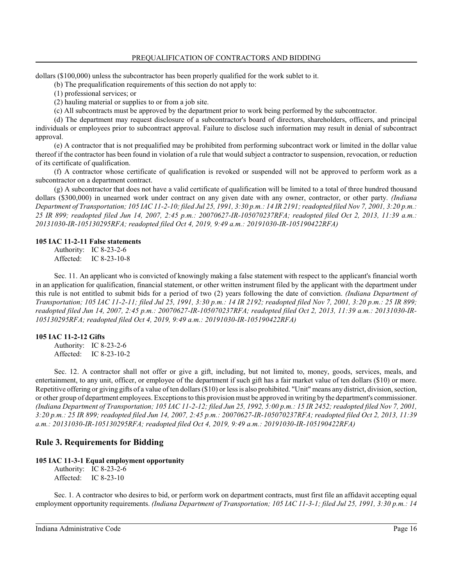dollars (\$100,000) unless the subcontractor has been properly qualified for the work sublet to it.

(b) The prequalification requirements of this section do not apply to:

(1) professional services; or

(2) hauling material or supplies to or from a job site.

(c) All subcontracts must be approved by the department prior to work being performed by the subcontractor.

(d) The department may request disclosure of a subcontractor's board of directors, shareholders, officers, and principal individuals or employees prior to subcontract approval. Failure to disclose such information may result in denial of subcontract approval.

(e) A contractor that is not prequalified may be prohibited from performing subcontract work or limited in the dollar value thereof if the contractor has been found in violation of a rule that would subject a contractor to suspension, revocation, or reduction of its certificate of qualification.

(f) A contractor whose certificate of qualification is revoked or suspended will not be approved to perform work as a subcontractor on a department contract.

(g) A subcontractor that does not have a valid certificate of qualification will be limited to a total of three hundred thousand dollars (\$300,000) in unearned work under contract on any given date with any owner, contractor, or other party. *(Indiana Department of Transportation; 105 IAC 11-2-10; filed Jul 25, 1991, 3:30 p.m.: 14 IR 2191; readopted filed Nov 7, 2001, 3:20 p.m.: 25 IR 899; readopted filed Jun 14, 2007, 2:45 p.m.: 20070627-IR-105070237RFA; readopted filed Oct 2, 2013, 11:39 a.m.: 20131030-IR-105130295RFA; readopted filed Oct 4, 2019, 9:49 a.m.: 20191030-IR-105190422RFA)*

#### **105 IAC 11-2-11 False statements**

Authority: IC 8-23-2-6 Affected: IC 8-23-10-8

Sec. 11. An applicant who is convicted of knowingly making a false statement with respect to the applicant's financial worth in an application for qualification, financial statement, or other written instrument filed by the applicant with the department under this rule is not entitled to submit bids for a period of two (2) years following the date of conviction. *(Indiana Department of Transportation; 105 IAC 11-2-11; filed Jul 25, 1991, 3:30 p.m.: 14 IR 2192; readopted filed Nov 7, 2001, 3:20 p.m.: 25 IR 899; readopted filed Jun 14, 2007, 2:45 p.m.: 20070627-IR-105070237RFA; readopted filed Oct 2, 2013, 11:39 a.m.: 20131030-IR-105130295RFA; readopted filed Oct 4, 2019, 9:49 a.m.: 20191030-IR-105190422RFA)*

#### **105 IAC 11-2-12 Gifts**

Authority: IC 8-23-2-6 Affected: IC 8-23-10-2

Sec. 12. A contractor shall not offer or give a gift, including, but not limited to, money, goods, services, meals, and entertainment, to any unit, officer, or employee of the department if such gift has a fair market value of ten dollars (\$10) or more. Repetitive offering or giving gifts of a value of ten dollars (\$10) or less is also prohibited. "Unit" means any district, division, section, or other group of department employees. Exceptions to this provision must be approved in writing by the department's commissioner. *(Indiana Department of Transportation; 105 IAC 11-2-12; filed Jun 25, 1992, 5:00 p.m.: 15 IR 2452; readopted filed Nov 7, 2001, 3:20 p.m.: 25 IR 899; readopted filed Jun 14, 2007, 2:45 p.m.: 20070627-IR-105070237RFA; readopted filed Oct 2, 2013, 11:39 a.m.: 20131030-IR-105130295RFA; readopted filed Oct 4, 2019, 9:49 a.m.: 20191030-IR-105190422RFA)*

# **Rule 3. Requirements for Bidding**

#### **105 IAC 11-3-1 Equal employment opportunity**

Authority: IC 8-23-2-6 Affected: IC 8-23-10

Sec. 1. A contractor who desires to bid, or perform work on department contracts, must first file an affidavit accepting equal employment opportunity requirements. *(Indiana Department of Transportation; 105 IAC 11-3-1; filed Jul 25, 1991, 3:30 p.m.: 14*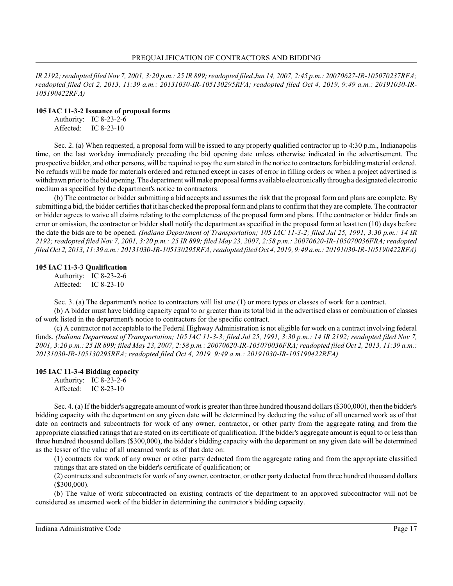*IR 2192; readopted filed Nov 7, 2001, 3:20 p.m.: 25 IR 899;readopted filed Jun 14, 2007, 2:45 p.m.: 20070627-IR-105070237RFA; readopted filed Oct 2, 2013, 11:39 a.m.: 20131030-IR-105130295RFA; readopted filed Oct 4, 2019, 9:49 a.m.: 20191030-IR-105190422RFA)*

#### **105 IAC 11-3-2 Issuance of proposal forms**

Authority: IC 8-23-2-6 Affected: IC 8-23-10

Sec. 2. (a) When requested, a proposal form will be issued to any properly qualified contractor up to 4:30 p.m., Indianapolis time, on the last workday immediately preceding the bid opening date unless otherwise indicated in the advertisement. The prospective bidder, and other persons, will be required to pay the sumstated in the notice to contractors for bidding material ordered. No refunds will be made for materials ordered and returned except in cases of error in filling orders or when a project advertised is withdrawn prior to the bid opening. The department will make proposal forms available electronicallythrough a designated electronic medium as specified by the department's notice to contractors.

(b) The contractor or bidder submitting a bid accepts and assumes the risk that the proposal form and plans are complete. By submitting a bid, the bidder certifies that it has checked the proposal formand plans to confirmthat they are complete. The contractor or bidder agrees to waive all claims relating to the completeness of the proposal form and plans. If the contractor or bidder finds an error or omission, the contractor or bidder shall notify the department as specified in the proposal form at least ten (10) days before the date the bids are to be opened. *(Indiana Department of Transportation; 105 IAC 11-3-2; filed Jul 25, 1991, 3:30 p.m.: 14 IR 2192; readopted filed Nov 7, 2001, 3:20 p.m.: 25 IR 899; filed May 23, 2007, 2:58 p.m.: 20070620-IR-105070036FRA; readopted filed Oct 2, 2013, 11:39 a.m.: 20131030-IR-105130295RFA; readopted filed Oct 4, 2019, 9:49 a.m.: 20191030-IR-105190422RFA)*

### **105 IAC 11-3-3 Qualification**

Authority: IC 8-23-2-6 Affected: IC 8-23-10

Sec. 3. (a) The department's notice to contractors will list one (1) or more types or classes of work for a contract.

(b) A bidder must have bidding capacity equal to or greater than its total bid in the advertised class or combination of classes of work listed in the department's notice to contractors for the specific contract.

(c) A contractor not acceptable to the Federal Highway Administration is not eligible for work on a contract involving federal funds. *(Indiana Department of Transportation; 105 IAC 11-3-3; filed Jul 25, 1991, 3:30 p.m.: 14 IR 2192; readopted filed Nov 7, 2001, 3:20 p.m.: 25 IR 899; filed May 23, 2007, 2:58 p.m.: 20070620-IR-105070036FRA; readopted filed Oct 2, 2013, 11:39 a.m.: 20131030-IR-105130295RFA; readopted filed Oct 4, 2019, 9:49 a.m.: 20191030-IR-105190422RFA)*

### **105 IAC 11-3-4 Bidding capacity**

Authority: IC 8-23-2-6 Affected: IC 8-23-10

Sec. 4. (a) If the bidder's aggregate amount of work is greater than three hundred thousand dollars (\$300,000), then the bidder's bidding capacity with the department on any given date will be determined by deducting the value of all unearned work as of that date on contracts and subcontracts for work of any owner, contractor, or other party from the aggregate rating and from the appropriate classified ratings that are stated on its certificate of qualification. If the bidder's aggregate amount is equal to or less than three hundred thousand dollars (\$300,000), the bidder's bidding capacity with the department on any given date will be determined as the lesser of the value of all unearned work as of that date on:

(1) contracts for work of any owner or other party deducted from the aggregate rating and from the appropriate classified ratings that are stated on the bidder's certificate of qualification; or

(2) contracts and subcontracts for work of any owner, contractor, or other party deducted from three hundred thousand dollars (\$300,000).

(b) The value of work subcontracted on existing contracts of the department to an approved subcontractor will not be considered as unearned work of the bidder in determining the contractor's bidding capacity.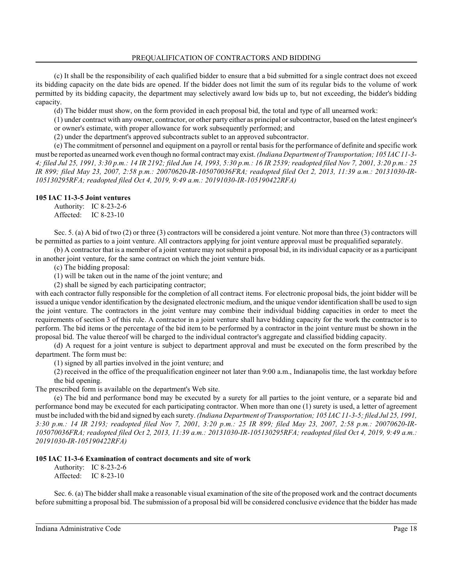(c) It shall be the responsibility of each qualified bidder to ensure that a bid submitted for a single contract does not exceed its bidding capacity on the date bids are opened. If the bidder does not limit the sum of its regular bids to the volume of work permitted by its bidding capacity, the department may selectively award low bids up to, but not exceeding, the bidder's bidding capacity.

(d) The bidder must show, on the form provided in each proposal bid, the total and type of all unearned work:

(1) under contract with any owner, contractor, or other party either as principal or subcontractor, based on the latest engineer's or owner's estimate, with proper allowance for work subsequently performed; and

(2) under the department's approved subcontracts sublet to an approved subcontractor.

(e) The commitment of personnel and equipment on a payroll or rental basis for the performance of definite and specific work must be reported as unearned work even though no formal contract may exist. *(Indiana Department of Transportation; 105 IAC 11-3- 4; filed Jul 25, 1991, 3:30 p.m.: 14 IR 2192; filed Jun 14, 1993, 5:30 p.m.: 16 IR 2539; readopted filed Nov 7, 2001, 3:20 p.m.: 25 IR 899; filed May 23, 2007, 2:58 p.m.: 20070620-IR-105070036FRA; readopted filed Oct 2, 2013, 11:39 a.m.: 20131030-IR-105130295RFA; readopted filed Oct 4, 2019, 9:49 a.m.: 20191030-IR-105190422RFA)*

# **105 IAC 11-3-5 Joint ventures**

Authority: IC 8-23-2-6 Affected: IC 8-23-10

Sec. 5. (a) A bid of two (2) or three (3) contractors will be considered a joint venture. Not more than three (3) contractors will be permitted as parties to a joint venture. All contractors applying for joint venture approval must be prequalified separately.

(b) A contractor that is a member of a joint venture may not submit a proposal bid, in its individual capacity or as a participant in another joint venture, for the same contract on which the joint venture bids.

(c) The bidding proposal:

(1) will be taken out in the name of the joint venture; and

(2) shall be signed by each participating contractor;

with each contractor fully responsible for the completion of all contract items. For electronic proposal bids, the joint bidder will be issued a unique vendor identification by the designated electronic medium, and the unique vendor identification shall be used to sign the joint venture. The contractors in the joint venture may combine their individual bidding capacities in order to meet the requirements of section 3 of this rule. A contractor in a joint venture shall have bidding capacity for the work the contractor is to perform. The bid items or the percentage of the bid item to be performed by a contractor in the joint venture must be shown in the proposal bid. The value thereof will be charged to the individual contractor's aggregate and classified bidding capacity.

(d) A request for a joint venture is subject to department approval and must be executed on the form prescribed by the department. The form must be:

(1) signed by all parties involved in the joint venture; and

(2) received in the office of the prequalification engineer not later than 9:00 a.m., Indianapolis time, the last workday before the bid opening.

The prescribed form is available on the department's Web site.

(e) The bid and performance bond may be executed by a surety for all parties to the joint venture, or a separate bid and performance bond may be executed for each participating contractor. When more than one (1) surety is used, a letter of agreement must be included with the bid and signed by each surety. *(Indiana Department of Transportation; 105 IAC 11-3-5; filed Jul 25, 1991, 3:30 p.m.: 14 IR 2193; readopted filed Nov 7, 2001, 3:20 p.m.: 25 IR 899; filed May 23, 2007, 2:58 p.m.: 20070620-IR-105070036FRA; readopted filed Oct 2, 2013, 11:39 a.m.: 20131030-IR-105130295RFA; readopted filed Oct 4, 2019, 9:49 a.m.: 20191030-IR-105190422RFA)*

### **105 IAC 11-3-6 Examination of contract documents and site of work**

Authority: IC 8-23-2-6 Affected: IC 8-23-10

Sec. 6. (a) The bidder shall make a reasonable visual examination of the site of the proposed work and the contract documents before submitting a proposal bid. The submission of a proposal bid will be considered conclusive evidence that the bidder has made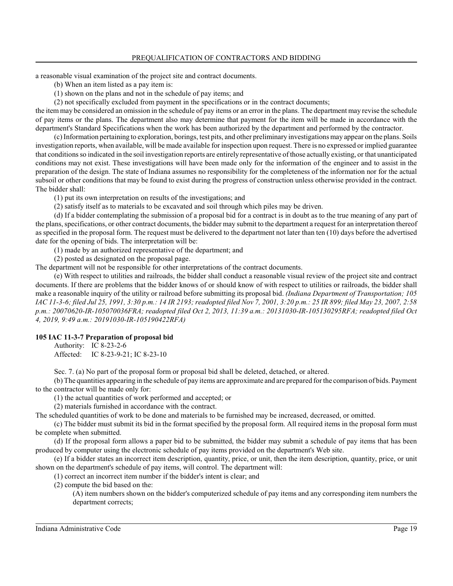a reasonable visual examination of the project site and contract documents.

(b) When an item listed as a pay item is:

(1) shown on the plans and not in the schedule of pay items; and

(2) not specifically excluded from payment in the specifications or in the contract documents;

the item may be considered an omission in the schedule of pay items or an error in the plans. The department may revise the schedule of pay items or the plans. The department also may determine that payment for the item will be made in accordance with the department's Standard Specifications when the work has been authorized by the department and performed by the contractor.

(c) Information pertaining to exploration, borings, test pits, and other preliminary investigations may appear on the plans. Soils investigation reports, when available, will be made available for inspection upon request. There is no expressed or implied guarantee that conditions so indicated in the soil investigation reports are entirely representative of those actually existing, or that unanticipated conditions may not exist. These investigations will have been made only for the information of the engineer and to assist in the preparation of the design. The state of Indiana assumes no responsibility for the completeness of the information nor for the actual subsoil or other conditions that may be found to exist during the progress of construction unless otherwise provided in the contract. The bidder shall:

(1) put its own interpretation on results of the investigations; and

(2) satisfy itself as to materials to be excavated and soil through which piles may be driven.

(d) If a bidder contemplating the submission of a proposal bid for a contract is in doubt as to the true meaning of any part of the plans, specifications, or other contract documents, the bidder may submit to the department a request for an interpretation thereof as specified in the proposal form. The request must be delivered to the department not later than ten (10) days before the advertised date for the opening of bids. The interpretation will be:

(1) made by an authorized representative of the department; and

(2) posted as designated on the proposal page.

The department will not be responsible for other interpretations of the contract documents.

(e) With respect to utilities and railroads, the bidder shall conduct a reasonable visual review of the project site and contract documents. If there are problems that the bidder knows of or should know of with respect to utilities or railroads, the bidder shall make a reasonable inquiry of the utility or railroad before submitting its proposal bid. *(Indiana Department of Transportation; 105 IAC 11-3-6; filed Jul 25, 1991, 3:30 p.m.: 14 IR 2193; readopted filed Nov 7, 2001, 3:20 p.m.: 25 IR 899; filed May 23, 2007, 2:58 p.m.: 20070620-IR-105070036FRA; readopted filed Oct 2, 2013, 11:39 a.m.: 20131030-IR-105130295RFA; readopted filed Oct 4, 2019, 9:49 a.m.: 20191030-IR-105190422RFA)*

### **105 IAC 11-3-7 Preparation of proposal bid**

Authority: IC 8-23-2-6 Affected: IC 8-23-9-21; IC 8-23-10

Sec. 7. (a) No part of the proposal form or proposal bid shall be deleted, detached, or altered.

(b) The quantities appearing in the schedule of pay items are approximate and are prepared for the comparison of bids. Payment to the contractor will be made only for:

(1) the actual quantities of work performed and accepted; or

(2) materials furnished in accordance with the contract.

The scheduled quantities of work to be done and materials to be furnished may be increased, decreased, or omitted.

(c) The bidder must submit its bid in the format specified by the proposal form. All required items in the proposal form must be complete when submitted.

(d) If the proposal form allows a paper bid to be submitted, the bidder may submit a schedule of pay items that has been produced by computer using the electronic schedule of pay items provided on the department's Web site.

(e) If a bidder states an incorrect item description, quantity, price, or unit, then the item description, quantity, price, or unit shown on the department's schedule of pay items, will control. The department will:

(1) correct an incorrect item number if the bidder's intent is clear; and

(2) compute the bid based on the:

(A) item numbers shown on the bidder's computerized schedule of pay items and any corresponding item numbers the department corrects;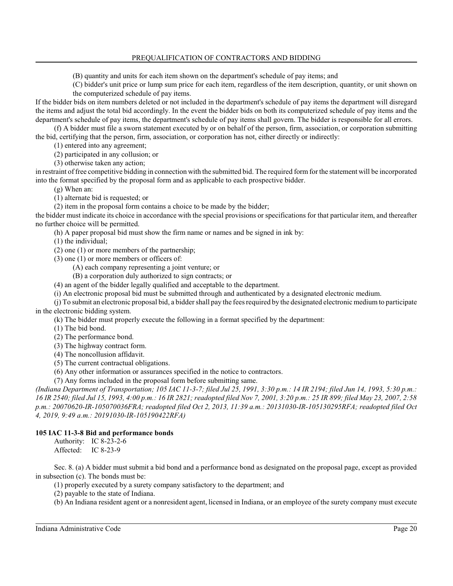(B) quantity and units for each item shown on the department's schedule of pay items; and

(C) bidder's unit price or lump sum price for each item, regardless of the item description, quantity, or unit shown on the computerized schedule of pay items.

If the bidder bids on item numbers deleted or not included in the department's schedule of pay items the department will disregard the items and adjust the total bid accordingly. In the event the bidder bids on both its computerized schedule of pay items and the department's schedule of pay items, the department's schedule of pay items shall govern. The bidder is responsible for all errors.

(f) A bidder must file a sworn statement executed by or on behalf of the person, firm, association, or corporation submitting the bid, certifying that the person, firm, association, or corporation has not, either directly or indirectly:

(1) entered into any agreement;

(2) participated in any collusion; or

(3) otherwise taken any action;

in restraint of free competitive bidding in connection with the submitted bid. The required formfor the statement will be incorporated into the format specified by the proposal form and as applicable to each prospective bidder.

(g) When an:

(1) alternate bid is requested; or

(2) item in the proposal form contains a choice to be made by the bidder;

the bidder must indicate its choice in accordance with the special provisions or specifications for that particular item, and thereafter no further choice will be permitted.

(h) A paper proposal bid must show the firm name or names and be signed in ink by:

(1) the individual;

(2) one (1) or more members of the partnership;

(3) one (1) or more members or officers of:

(A) each company representing a joint venture; or

(B) a corporation duly authorized to sign contracts; or

(4) an agent of the bidder legally qualified and acceptable to the department.

(i) An electronic proposal bid must be submitted through and authenticated by a designated electronic medium.

(j) To submit an electronic proposal bid, a biddershall pay the fees required by the designated electronic mediumto participate in the electronic bidding system.

(k) The bidder must properly execute the following in a format specified by the department:

(1) The bid bond.

(2) The performance bond.

(3) The highway contract form.

(4) The noncollusion affidavit.

(5) The current contractual obligations.

(6) Any other information or assurances specified in the notice to contractors.

(7) Any forms included in the proposal form before submitting same.

*(Indiana Department of Transportation; 105 IAC 11-3-7; filed Jul 25, 1991, 3:30 p.m.: 14 IR 2194; filed Jun 14, 1993, 5:30 p.m.: 16 IR 2540; filed Jul 15, 1993, 4:00 p.m.: 16 IR 2821; readopted filed Nov 7, 2001, 3:20 p.m.: 25 IR 899; filed May 23, 2007, 2:58 p.m.: 20070620-IR-105070036FRA; readopted filed Oct 2, 2013, 11:39 a.m.: 20131030-IR-105130295RFA; readopted filed Oct 4, 2019, 9:49 a.m.: 20191030-IR-105190422RFA)*

### **105 IAC 11-3-8 Bid and performance bonds**

Authority: IC 8-23-2-6 Affected: IC 8-23-9

Sec. 8. (a) A bidder must submit a bid bond and a performance bond as designated on the proposal page, except as provided in subsection (c). The bonds must be:

(1) properly executed by a surety company satisfactory to the department; and

(2) payable to the state of Indiana.

(b) An Indiana resident agent or a nonresident agent, licensed in Indiana, or an employee of the surety company must execute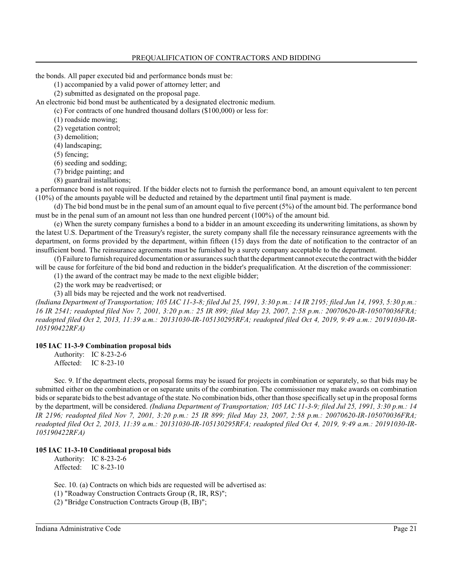the bonds. All paper executed bid and performance bonds must be:

(1) accompanied by a valid power of attorney letter; and

(2) submitted as designated on the proposal page.

An electronic bid bond must be authenticated by a designated electronic medium.

(c) For contracts of one hundred thousand dollars (\$100,000) or less for:

(1) roadside mowing;

(2) vegetation control;

(3) demolition;

(4) landscaping;

(5) fencing;

(6) seeding and sodding;

(7) bridge painting; and

(8) guardrail installations;

a performance bond is not required. If the bidder elects not to furnish the performance bond, an amount equivalent to ten percent (10%) of the amounts payable will be deducted and retained by the department until final payment is made.

(d) The bid bond must be in the penal sum of an amount equal to five percent (5%) of the amount bid. The performance bond must be in the penal sum of an amount not less than one hundred percent (100%) of the amount bid.

(e) When the surety company furnishes a bond to a bidder in an amount exceeding its underwriting limitations, as shown by the latest U.S. Department of the Treasury's register, the surety company shall file the necessary reinsurance agreements with the department, on forms provided by the department, within fifteen (15) days from the date of notification to the contractor of an insufficient bond. The reinsurance agreements must be furnished by a surety company acceptable to the department.

(f) Failure to furnish required documentation or assurances such that the department cannot execute the contract with the bidder will be cause for forfeiture of the bid bond and reduction in the bidder's prequalification. At the discretion of the commissioner:

(1) the award of the contract may be made to the next eligible bidder;

(2) the work may be readvertised; or

(3) all bids may be rejected and the work not readvertised.

*(Indiana Department of Transportation; 105 IAC 11-3-8; filed Jul 25, 1991, 3:30 p.m.: 14 IR 2195; filed Jun 14, 1993, 5:30 p.m.: 16 IR 2541; readopted filed Nov 7, 2001, 3:20 p.m.: 25 IR 899; filed May 23, 2007, 2:58 p.m.: 20070620-IR-105070036FRA; readopted filed Oct 2, 2013, 11:39 a.m.: 20131030-IR-105130295RFA; readopted filed Oct 4, 2019, 9:49 a.m.: 20191030-IR-105190422RFA)*

### **105 IAC 11-3-9 Combination proposal bids**

Authority: IC 8-23-2-6 Affected: IC 8-23-10

Sec. 9. If the department elects, proposal forms may be issued for projects in combination or separately, so that bids may be submitted either on the combination or on separate units of the combination. The commissioner may make awards on combination bids orseparate bids to the best advantage of the state. No combination bids, other than those specifically set up in the proposal forms by the department, will be considered. *(Indiana Department of Transportation; 105 IAC 11-3-9; filed Jul 25, 1991, 3:30 p.m.: 14 IR 2196; readopted filed Nov 7, 2001, 3:20 p.m.: 25 IR 899; filed May 23, 2007, 2:58 p.m.: 20070620-IR-105070036FRA; readopted filed Oct 2, 2013, 11:39 a.m.: 20131030-IR-105130295RFA; readopted filed Oct 4, 2019, 9:49 a.m.: 20191030-IR-105190422RFA)*

### **105 IAC 11-3-10 Conditional proposal bids**

Authority: IC 8-23-2-6 Affected: IC 8-23-10

Sec. 10. (a) Contracts on which bids are requested will be advertised as:

(1) "Roadway Construction Contracts Group (R, IR, RS)";

(2) "Bridge Construction Contracts Group (B, IB)";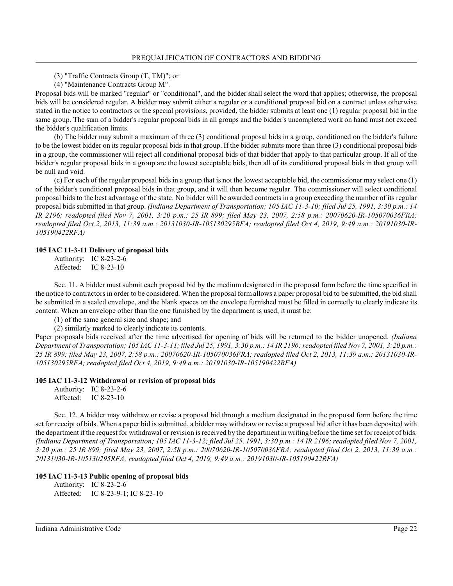(3) "Traffic Contracts Group (T, TM)"; or

(4) "Maintenance Contracts Group M".

Proposal bids will be marked "regular" or "conditional", and the bidder shall select the word that applies; otherwise, the proposal bids will be considered regular. A bidder may submit either a regular or a conditional proposal bid on a contract unless otherwise stated in the notice to contractors or the special provisions, provided, the bidder submits at least one (1) regular proposal bid in the same group. The sum of a bidder's regular proposal bids in all groups and the bidder's uncompleted work on hand must not exceed the bidder's qualification limits.

(b) The bidder may submit a maximum of three (3) conditional proposal bids in a group, conditioned on the bidder's failure to be the lowest bidder on its regular proposal bids in that group. If the bidder submits more than three (3) conditional proposal bids in a group, the commissioner will reject all conditional proposal bids of that bidder that apply to that particular group. If all of the bidder's regular proposal bids in a group are the lowest acceptable bids, then all of its conditional proposal bids in that group will be null and void.

(c) For each of the regular proposal bids in a group that is not the lowest acceptable bid, the commissioner may select one (1) of the bidder's conditional proposal bids in that group, and it will then become regular. The commissioner will select conditional proposal bids to the best advantage of the state. No bidder will be awarded contracts in a group exceeding the number of its regular proposal bids submitted in that group. *(Indiana Department of Transportation; 105 IAC 11-3-10; filed Jul 25, 1991, 3:30 p.m.: 14 IR 2196; readopted filed Nov 7, 2001, 3:20 p.m.: 25 IR 899; filed May 23, 2007, 2:58 p.m.: 20070620-IR-105070036FRA; readopted filed Oct 2, 2013, 11:39 a.m.: 20131030-IR-105130295RFA; readopted filed Oct 4, 2019, 9:49 a.m.: 20191030-IR-105190422RFA)*

#### **105 IAC 11-3-11 Delivery of proposal bids**

Authority: IC 8-23-2-6 Affected: IC 8-23-10

Sec. 11. A bidder must submit each proposal bid by the medium designated in the proposal form before the time specified in the notice to contractors in order to be considered. When the proposal form allows a paper proposal bid to be submitted, the bid shall be submitted in a sealed envelope, and the blank spaces on the envelope furnished must be filled in correctly to clearly indicate its content. When an envelope other than the one furnished by the department is used, it must be:

(1) of the same general size and shape; and

(2) similarly marked to clearly indicate its contents.

Paper proposals bids received after the time advertised for opening of bids will be returned to the bidder unopened. *(Indiana Department of Transportation; 105 IAC 11-3-11; filed Jul 25, 1991, 3:30 p.m.: 14 IR 2196; readopted filed Nov 7, 2001, 3:20 p.m.: 25 IR 899; filed May 23, 2007, 2:58 p.m.: 20070620-IR-105070036FRA; readopted filed Oct 2, 2013, 11:39 a.m.: 20131030-IR-105130295RFA; readopted filed Oct 4, 2019, 9:49 a.m.: 20191030-IR-105190422RFA)*

#### **105 IAC 11-3-12 Withdrawal or revision of proposal bids**

Authority: IC 8-23-2-6 Affected: IC 8-23-10

Sec. 12. A bidder may withdraw or revise a proposal bid through a medium designated in the proposal form before the time set for receipt of bids. When a paper bid is submitted, a bidder may withdraw or revise a proposal bid after it has been deposited with the department if the request for withdrawal or revision is received by the department in writing before the time set for receipt of bids. *(Indiana Department of Transportation; 105 IAC 11-3-12; filed Jul 25, 1991, 3:30 p.m.: 14 IR 2196; readopted filed Nov 7, 2001, 3:20 p.m.: 25 IR 899; filed May 23, 2007, 2:58 p.m.: 20070620-IR-105070036FRA; readopted filed Oct 2, 2013, 11:39 a.m.: 20131030-IR-105130295RFA; readopted filed Oct 4, 2019, 9:49 a.m.: 20191030-IR-105190422RFA)*

#### **105 IAC 11-3-13 Public opening of proposal bids**

Authority: IC 8-23-2-6 Affected: IC 8-23-9-1; IC 8-23-10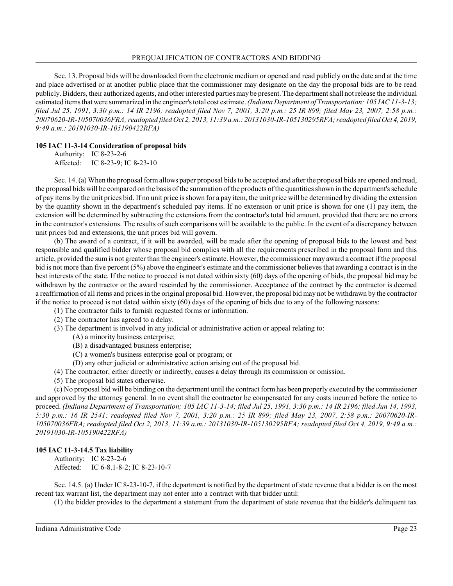Sec. 13. Proposal bids will be downloaded from the electronic medium or opened and read publicly on the date and at the time and place advertised or at another public place that the commissioner may designate on the day the proposal bids are to be read publicly. Bidders, their authorized agents, and other interested parties may be present. The department shall not release the individual estimated items that were summarized in the engineer's total cost estimate. *(Indiana Department of Transportation; 105 IAC 11-3-13; filed Jul 25, 1991, 3:30 p.m.: 14 IR 2196; readopted filed Nov 7, 2001, 3:20 p.m.: 25 IR 899; filed May 23, 2007, 2:58 p.m.: 20070620-IR-105070036FRA; readopted filed Oct 2, 2013, 11:39 a.m.: 20131030-IR-105130295RFA; readopted filed Oct 4, 2019, 9:49 a.m.: 20191030-IR-105190422RFA)*

### **105 IAC 11-3-14 Consideration of proposal bids**

Authority: IC 8-23-2-6 Affected: IC 8-23-9; IC 8-23-10

Sec. 14. (a) When the proposal formallows paper proposal bids to be accepted and after the proposal bids are opened and read, the proposal bids will be compared on the basis of the summation of the products of the quantities shown in the department's schedule of pay items by the unit prices bid. If no unit price is shown for a pay item, the unit price will be determined by dividing the extension by the quantity shown in the department's scheduled pay items. If no extension or unit price is shown for one (1) pay item, the extension will be determined by subtracting the extensions from the contractor's total bid amount, provided that there are no errors in the contractor's extensions. The results of such comparisons will be available to the public. In the event of a discrepancy between unit prices bid and extensions, the unit prices bid will govern.

(b) The award of a contract, if it will be awarded, will be made after the opening of proposal bids to the lowest and best responsible and qualified bidder whose proposal bid complies with all the requirements prescribed in the proposal form and this article, provided the sumis not greater than the engineer's estimate. However, the commissioner may award a contract if the proposal bid is not more than five percent (5%) above the engineer's estimate and the commissioner believes that awarding a contract is in the best interests of the state. If the notice to proceed is not dated within sixty (60) days of the opening of bids, the proposal bid may be withdrawn by the contractor or the award rescinded by the commissioner. Acceptance of the contract by the contractor is deemed a reaffirmation of all items and prices in the original proposal bid. However, the proposal bid may not be withdrawn by the contractor if the notice to proceed is not dated within sixty (60) days of the opening of bids due to any of the following reasons:

- (1) The contractor fails to furnish requested forms or information.
- (2) The contractor has agreed to a delay.
- (3) The department is involved in any judicial or administrative action or appeal relating to:
	- (A) a minority business enterprise;
		- (B) a disadvantaged business enterprise;
		- (C) a women's business enterprise goal or program; or
	- (D) any other judicial or administrative action arising out of the proposal bid.
- (4) The contractor, either directly or indirectly, causes a delay through its commission or omission.
- (5) The proposal bid states otherwise.

(c) No proposal bid will be binding on the department until the contract form has been properly executed by the commissioner and approved by the attorney general. In no event shall the contractor be compensated for any costs incurred before the notice to proceed. *(Indiana Department of Transportation; 105 IAC 11-3-14; filed Jul 25, 1991, 3:30 p.m.: 14 IR 2196; filed Jun 14, 1993, 5:30 p.m.: 16 IR 2541; readopted filed Nov 7, 2001, 3:20 p.m.: 25 IR 899; filed May 23, 2007, 2:58 p.m.: 20070620-IR-105070036FRA; readopted filed Oct 2, 2013, 11:39 a.m.: 20131030-IR-105130295RFA; readopted filed Oct 4, 2019, 9:49 a.m.: 20191030-IR-105190422RFA)*

# **105 IAC 11-3-14.5 Tax liability**

Authority: IC 8-23-2-6 Affected: IC 6-8.1-8-2; IC 8-23-10-7

Sec. 14.5. (a) Under IC 8-23-10-7, if the department is notified by the department of state revenue that a bidder is on the most recent tax warrant list, the department may not enter into a contract with that bidder until:

(1) the bidder provides to the department a statement from the department of state revenue that the bidder's delinquent tax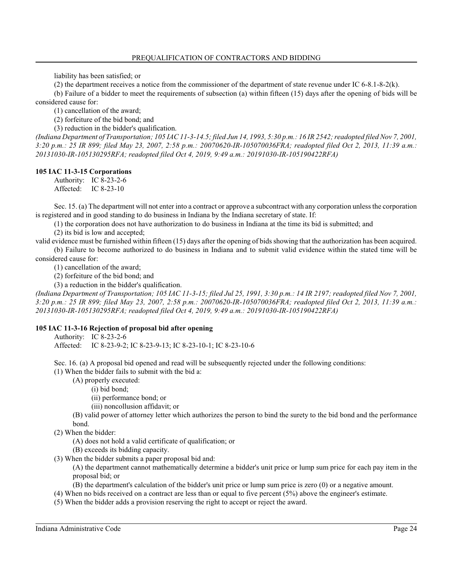liability has been satisfied; or

(2) the department receives a notice from the commissioner of the department of state revenue under IC 6-8.1-8-2(k).

(b) Failure of a bidder to meet the requirements of subsection (a) within fifteen (15) days after the opening of bids will be considered cause for:

(1) cancellation of the award;

(2) forfeiture of the bid bond; and

(3) reduction in the bidder's qualification.

*(Indiana Department of Transportation; 105 IAC 11-3-14.5; filed Jun 14, 1993, 5:30 p.m.: 16 IR 2542; readopted filed Nov 7, 2001, 3:20 p.m.: 25 IR 899; filed May 23, 2007, 2:58 p.m.: 20070620-IR-105070036FRA; readopted filed Oct 2, 2013, 11:39 a.m.: 20131030-IR-105130295RFA; readopted filed Oct 4, 2019, 9:49 a.m.: 20191030-IR-105190422RFA)*

#### **105 IAC 11-3-15 Corporations**

Authority: IC 8-23-2-6 Affected: IC 8-23-10

Sec. 15. (a) The department will not enter into a contract or approve a subcontract with any corporation unless the corporation is registered and in good standing to do business in Indiana by the Indiana secretary of state. If:

(1) the corporation does not have authorization to do business in Indiana at the time its bid is submitted; and

(2) its bid is low and accepted;

valid evidence must be furnished within fifteen (15) days after the opening of bids showing that the authorization has been acquired. (b) Failure to become authorized to do business in Indiana and to submit valid evidence within the stated time will be considered cause for:

(1) cancellation of the award;

(2) forfeiture of the bid bond; and

(3) a reduction in the bidder's qualification.

*(Indiana Department of Transportation; 105 IAC 11-3-15; filed Jul 25, 1991, 3:30 p.m.: 14 IR 2197; readopted filed Nov 7, 2001, 3:20 p.m.: 25 IR 899; filed May 23, 2007, 2:58 p.m.: 20070620-IR-105070036FRA; readopted filed Oct 2, 2013, 11:39 a.m.: 20131030-IR-105130295RFA; readopted filed Oct 4, 2019, 9:49 a.m.: 20191030-IR-105190422RFA)*

### **105 IAC 11-3-16 Rejection of proposal bid after opening**

Authority: IC 8-23-2-6

Affected: IC 8-23-9-2; IC 8-23-9-13; IC 8-23-10-1; IC 8-23-10-6

Sec. 16. (a) A proposal bid opened and read will be subsequently rejected under the following conditions:

(1) When the bidder fails to submit with the bid a:

(A) properly executed:

(i) bid bond;

(ii) performance bond; or

(iii) noncollusion affidavit; or

(B) valid power of attorney letter which authorizes the person to bind the surety to the bid bond and the performance bond.

(2) When the bidder:

(A) does not hold a valid certificate of qualification; or

(B) exceeds its bidding capacity.

(3) When the bidder submits a paper proposal bid and:

(A) the department cannot mathematically determine a bidder's unit price or lump sum price for each pay item in the proposal bid; or

(B) the department's calculation of the bidder's unit price or lump sum price is zero (0) or a negative amount.

(4) When no bids received on a contract are less than or equal to five percent (5%) above the engineer's estimate.

(5) When the bidder adds a provision reserving the right to accept or reject the award.